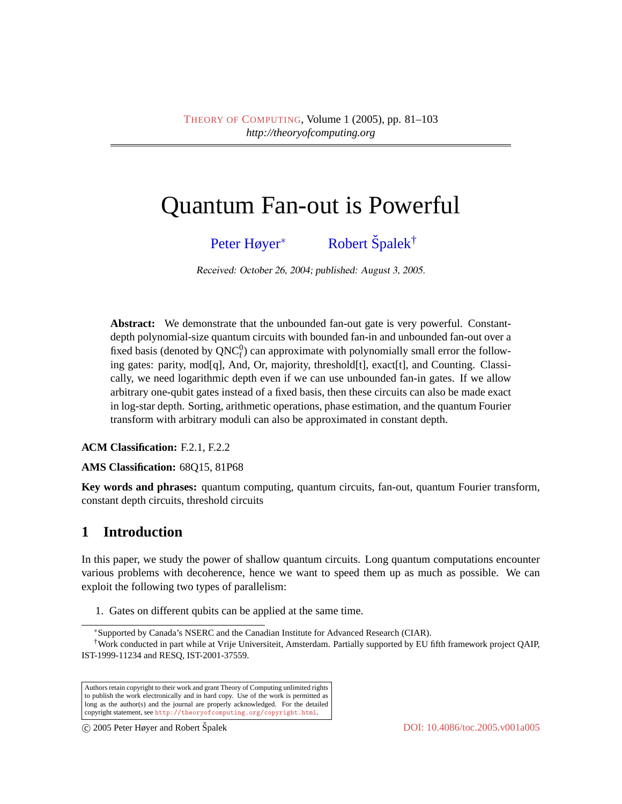# Quantum Fan-out is Powerful

[Peter Høyer](#page-22-0)<sup>∗</sup> [Robert](#page-22-1) Špalek<sup>†</sup>

Received: October 26, 2004; published: August 3, 2005.

**Abstract:** We demonstrate that the unbounded fan-out gate is very powerful. Constantdepth polynomial-size quantum circuits with bounded fan-in and unbounded fan-out over a fixed basis (denoted by  $QNC_f^0$ ) can approximate with polynomially small error the following gates: parity, mod[q], And, Or, majority, threshold[t], exact[t], and Counting. Classically, we need logarithmic depth even if we can use unbounded fan-in gates. If we allow arbitrary one-qubit gates instead of a fixed basis, then these circuits can also be made exact in log-star depth. Sorting, arithmetic operations, phase estimation, and the quantum Fourier transform with arbitrary moduli can also be approximated in constant depth.

**ACM Classification:** F.2.1, F.2.2

**AMS Classification:** 68Q15, 81P68

**Key words and phrases:** quantum computing, quantum circuits, fan-out, quantum Fourier transform, constant depth circuits, threshold circuits

# **1 Introduction**

In this paper, we study the power of shallow quantum circuits. Long quantum computations encounter various problems with decoherence, hence we want to speed them up as much as possible. We can exploit the following two types of parallelism:

1. Gates on different qubits can be applied at the same time.

<sup>∗</sup>Supported by Canada's NSERC and the Canadian Institute for Advanced Research (CIAR).

<sup>†</sup>Work conducted in part while at Vrije Universiteit, Amsterdam. Partially supported by EU fifth framework project QAIP, IST-1999-11234 and RESQ, IST-2001-37559.

Authors retain copyright to their work and grant Theory of Computing unlimited rights to publish the work electronically and in hard copy. Use of the work is permitted as long as the author(s) and the journal are properly acknowledged. For the detailed copyright statement, see <http://theoryofcomputing.org/copyright.html>.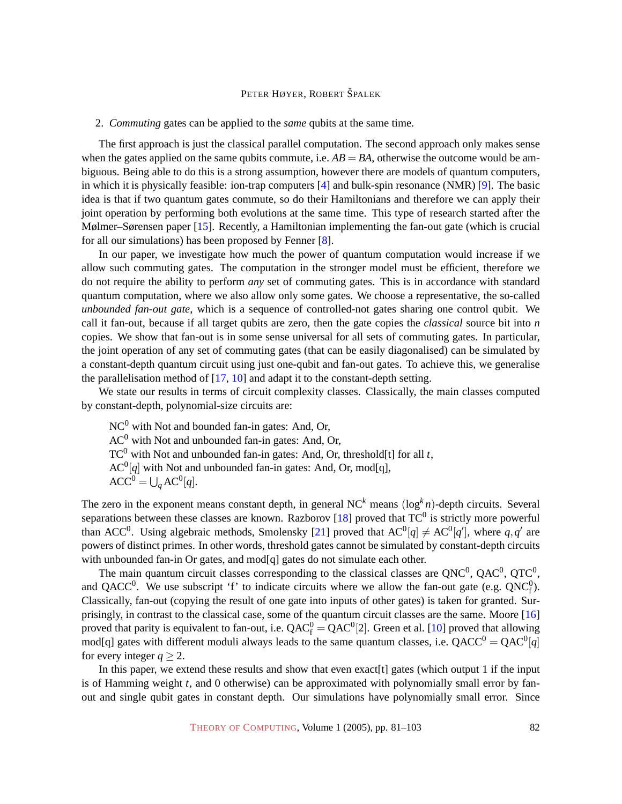#### <span id="page-1-0"></span>2. *Commuting* gates can be applied to the *same* qubits at the same time.

The first approach is just the classical parallel computation. The second approach only makes sense when the gates applied on the same qubits commute, i.e.  $AB = BA$ , otherwise the outcome would be ambiguous. Being able to do this is a strong assumption, however there are models of quantum computers, in which it is physically feasible: ion-trap computers [\[4\]](#page-20-0) and bulk-spin resonance (NMR) [\[9\]](#page-20-1). The basic idea is that if two quantum gates commute, so do their Hamiltonians and therefore we can apply their joint operation by performing both evolutions at the same time. This type of research started after the Mølmer–Sørensen paper [\[15\]](#page-21-0). Recently, a Hamiltonian implementing the fan-out gate (which is crucial for all our simulations) has been proposed by Fenner [\[8\]](#page-20-2).

In our paper, we investigate how much the power of quantum computation would increase if we allow such commuting gates. The computation in the stronger model must be efficient, therefore we do not require the ability to perform *any* set of commuting gates. This is in accordance with standard quantum computation, where we also allow only some gates. We choose a representative, the so-called *unbounded fan-out gate*, which is a sequence of controlled-not gates sharing one control qubit. We call it fan-out, because if all target qubits are zero, then the gate copies the *classical* source bit into *n* copies. We show that fan-out is in some sense universal for all sets of commuting gates. In particular, the joint operation of any set of commuting gates (that can be easily diagonalised) can be simulated by a constant-depth quantum circuit using just one-qubit and fan-out gates. To achieve this, we generalise the parallelisation method of [\[17,](#page-21-1) [10\]](#page-20-3) and adapt it to the constant-depth setting.

We state our results in terms of circuit complexity classes. Classically, the main classes computed by constant-depth, polynomial-size circuits are:

 $NC<sup>0</sup>$  with Not and bounded fan-in gates: And, Or,  $AC<sup>0</sup>$  with Not and unbounded fan-in gates: And, Or,  $TC^0$  with Not and unbounded fan-in gates: And, Or, threshold[t] for all *t*,  $AC^0[q]$  with Not and unbounded fan-in gates: And, Or, mod[q],  $ACC^{0} = \bigcup_{q} AC^{0}[q].$ 

The zero in the exponent means constant depth, in general NC*<sup>k</sup>* means (log*<sup>k</sup> n*)-depth circuits. Several separations between these classes are known. Razborov [\[18\]](#page-21-2) proved that  $TC^0$  is strictly more powerful than ACC<sup>0</sup>. Using algebraic methods, Smolensky [\[21\]](#page-21-3) proved that  $AC^0[q] \ne AC^0[q']$ , where  $q, q'$  are powers of distinct primes. In other words, threshold gates cannot be simulated by constant-depth circuits with unbounded fan-in Or gates, and mod[q] gates do not simulate each other.

The main quantum circuit classes corresponding to the classical classes are QNC<sup>0</sup>, QAC<sup>0</sup>, QTC<sup>0</sup>, and QACC<sup>0</sup>. We use subscript 'f' to indicate circuits where we allow the fan-out gate (e.g.  $QNC<sub>f</sub><sup>0</sup>$ ). Classically, fan-out (copying the result of one gate into inputs of other gates) is taken for granted. Surprisingly, in contrast to the classical case, some of the quantum circuit classes are the same. Moore [\[16\]](#page-21-4) proved that parity is equivalent to fan-out, i.e.  $QAC_f^0 = QAC_1^0[2]$ . Green et al. [\[10\]](#page-20-3) proved that allowing mod[q] gates with different moduli always leads to the same quantum classes, i.e.  $QACC^{0} = QAC^{0}[q]$ for every integer  $q > 2$ .

In this paper, we extend these results and show that even exact[t] gates (which output 1 if the input is of Hamming weight *t*, and 0 otherwise) can be approximated with polynomially small error by fanout and single qubit gates in constant depth. Our simulations have polynomially small error. Since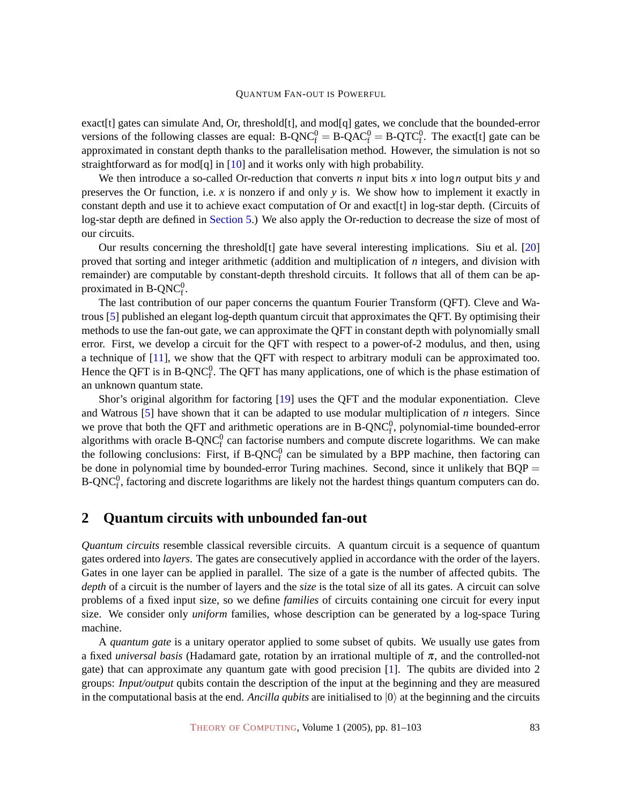exact[t] gates can simulate And, Or, threshold[t], and mod[q] gates, we conclude that the bounded-error versions of the following classes are equal:  $B\text{-}QNC_f^0 = B\text{-}QAC_f^0 = B\text{-}QTC_f^0$ . The exact[t] gate can be approximated in constant depth thanks to the parallelisation method. However, the simulation is not so straightforward as for mod[q] in [\[10\]](#page-20-3) and it works only with high probability.

We then introduce a so-called Or-reduction that converts *n* input bits *x* into log*n* output bits *y* and preserves the Or function, i.e. *x* is nonzero if and only *y* is. We show how to implement it exactly in constant depth and use it to achieve exact computation of Or and exact[t] in log-star depth. (Circuits of log-star depth are defined in Section [5.\) We also apply the Or-reduction to decrease the size of most of](#page-14-0) our circuits.

Our results concerning the threshold[t] gate have several interesting implications. Siu et al. [\[20\]](#page-21-5) proved that sorting and integer arithmetic (addition and multiplication of *n* integers, and division with remainder) are computable by constant-depth threshold circuits. It follows that all of them can be approximated in  $B\text{-}QNC_f^0$ .

The last contribution of our paper concerns the quantum Fourier Transform (QFT). Cleve and Watrous [\[5\]](#page-20-4) published an elegant log-depth quantum circuit that approximates the QFT. By optimising their methods to use the fan-out gate, we can approximate the QFT in constant depth with polynomially small error. First, we develop a circuit for the QFT with respect to a power-of-2 modulus, and then, using a technique of [\[11\]](#page-21-6), we show that the QFT with respect to arbitrary moduli can be approximated too. Hence the QFT is in B-QNC $_1^0$ . The QFT has many applications, one of which is the phase estimation of an unknown quantum state.

Shor's original algorithm for factoring [\[19\]](#page-21-7) uses the QFT and the modular exponentiation. Cleve and Watrous [\[5\]](#page-20-4) have shown that it can be adapted to use modular multiplication of *n* integers. Since we prove that both the QFT and arithmetic operations are in  $B\text{-}QNC_f^0$ , polynomial-time bounded-error algorithms with oracle  $B-QNC<sub>f</sub><sup>0</sup>$  can factorise numbers and compute discrete logarithms. We can make the following conclusions: First, if  $B-QNC<sub>f</sub><sup>0</sup>$  can be simulated by a BPP machine, then factoring can be done in polynomial time by bounded-error Turing machines. Second, since it unlikely that BQP = B-QNC $_f^0$ , factoring and discrete logarithms are likely not the hardest things quantum computers can do.

### <span id="page-2-0"></span>**2 Quantum circuits with unbounded fan-out**

*Quantum circuits* resemble classical reversible circuits. A quantum circuit is a sequence of quantum gates ordered into *layers*. The gates are consecutively applied in accordance with the order of the layers. Gates in one layer can be applied in parallel. The size of a gate is the number of affected qubits. The *depth* of a circuit is the number of layers and the *size* is the total size of all its gates. A circuit can solve problems of a fixed input size, so we define *families* of circuits containing one circuit for every input size. We consider only *uniform* families, whose description can be generated by a log-space Turing machine.

A *quantum gate* is a unitary operator applied to some subset of qubits. We usually use gates from a fixed *universal basis* (Hadamard gate, rotation by an irrational multiple of π, and the controlled-not gate) that can approximate any quantum gate with good precision [\[1\]](#page-20-5). The qubits are divided into 2 groups: *Input/output* qubits contain the description of the input at the beginning and they are measured in the computational basis at the end. *Ancilla qubits* are initialised to  $|0\rangle$  at the beginning and the circuits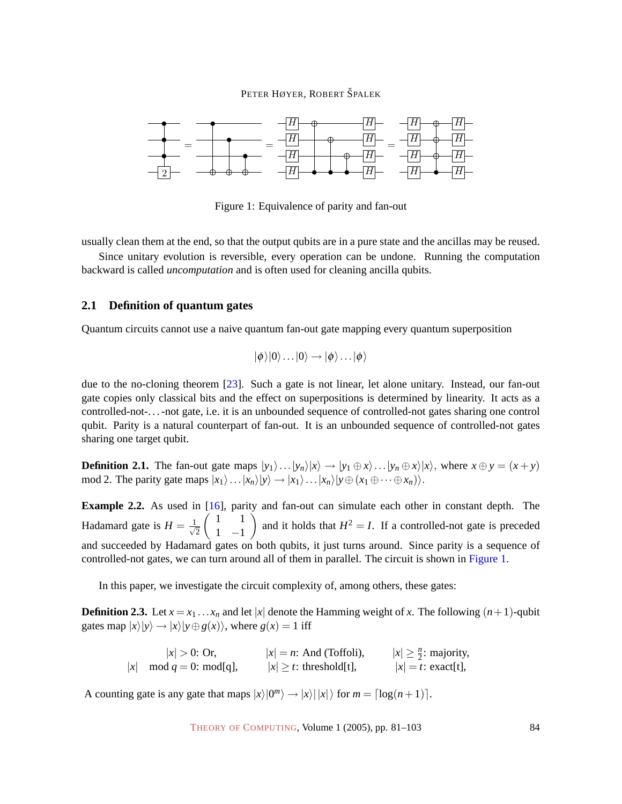

<span id="page-3-0"></span>Figure 1: Equivalence of parity and fan-out

usually clean them at the end, so that the output qubits are in a pure state and the ancillas may be reused.

Since unitary evolution is reversible, every operation can be undone. Running the computation backward is called *uncomputation* and is often used for cleaning ancilla qubits.

#### <span id="page-3-2"></span>**2.1 Definition of quantum gates**

Quantum circuits cannot use a naive quantum fan-out gate mapping every quantum superposition

$$
|\phi\rangle|0\rangle\ldots|0\rangle\rightarrow|\phi\rangle\ldots|\phi\rangle
$$

due to the no-cloning theorem [\[23\]](#page-21-8). Such a gate is not linear, let alone unitary. Instead, our fan-out gate copies only classical bits and the effect on superpositions is determined by linearity. It acts as a controlled-not-. . . -not gate, i.e. it is an unbounded sequence of controlled-not gates sharing one control qubit. Parity is a natural counterpart of fan-out. It is an unbounded sequence of controlled-not gates sharing one target qubit.

**Definition 2.1.** The fan-out gate maps  $|y_1\rangle \dots |y_n\rangle |x\rangle \rightarrow |y_1 \oplus x\rangle \dots |y_n \oplus x\rangle |x\rangle$ , where  $x \oplus y = (x + y)$ mod 2. The parity gate maps  $|x_1\rangle \dots |x_n\rangle |y\rangle \rightarrow |x_1\rangle \dots |x_n\rangle |y \oplus (x_1 \oplus \dots \oplus x_n)\rangle$ .

<span id="page-3-1"></span>**Example 2.2.** As used in [\[16\]](#page-21-4), parity and fan-out can simulate each other in constant depth. The Hadamard gate is  $H = \frac{1}{4}$ 2  $(1 \ 1$ 1 −1 ) and it holds that  $H^2 = I$ . If a controlled-not gate is preceded and succeeded by Hadamard gates on both qubits, it just turns around. Since parity is a sequence of controlled-not gates, we can turn around all of them in parallel. The circuit is shown in [Figure 1.](#page-3-0)

In this paper, we investigate the circuit complexity of, among others, these gates:

**Definition 2.3.** Let  $x = x_1 \ldots x_n$  and let |x| denote the Hamming weight of x. The following  $(n+1)$ -qubit gates map  $|x\rangle|y\rangle \rightarrow |x\rangle|y \oplus g(x)\rangle$ , where  $g(x) = 1$  iff

> $|x| > 0$ : Or,  $|x| = n$ : And (Toffoli),  $|x| \ge \frac{n}{2}$ : majority,  $|x|$  mod  $q = 0$ : mod[q],  $|x| \ge t$ : threshold[t],  $|x| = t$ : exact[t],

A counting gate is any gate that maps  $|x\rangle|0^m\rangle \rightarrow |x\rangle||x\rangle$  for  $m = \lceil \log(n+1) \rceil$ .

THEORY OF C[OMPUTING](http://dx.doi.org/10.4086/toc), Volume 1 (2005), pp. 81–103 84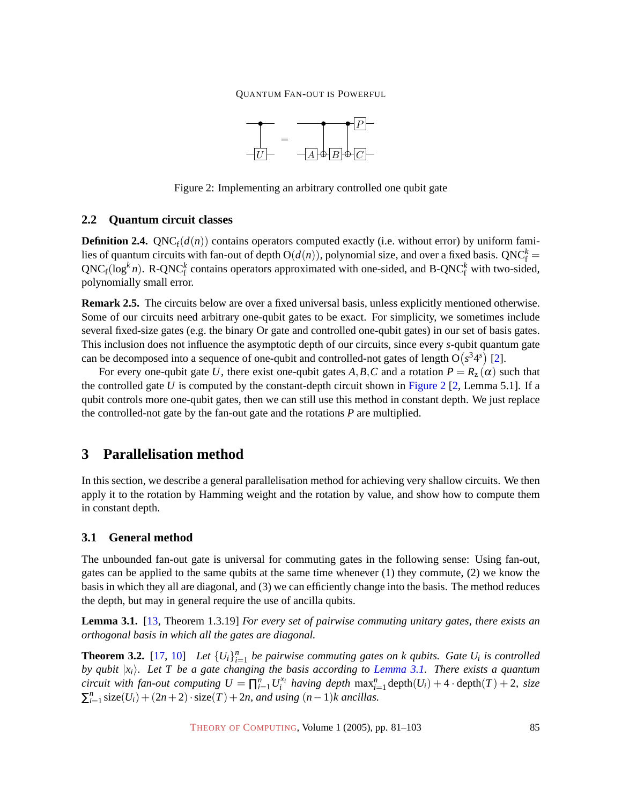

<span id="page-4-0"></span>Figure 2: Implementing an arbitrary controlled one qubit gate

#### **2.2 Quantum circuit classes**

**Definition 2.4.**  $QNC_f(d(n))$  contains operators computed exactly (i.e. without error) by uniform families of quantum circuits with fan-out of depth  $O(d(n))$ , polynomial size, and over a fixed basis.  $QNC_f^k =$  $QNC_f(\log^kn)$ . R-QNC<sup>k</sup> contains operators approximated with one-sided, and B-QNC<sup>k</sup> with two-sided, polynomially small error.

<span id="page-4-3"></span>**Remark 2.5.** The circuits below are over a fixed universal basis, unless explicitly mentioned otherwise. Some of our circuits need arbitrary one-qubit gates to be exact. For simplicity, we sometimes include several fixed-size gates (e.g. the binary Or gate and controlled one-qubit gates) in our set of basis gates. This inclusion does not influence the asymptotic depth of our circuits, since every *s*-qubit quantum gate can be decomposed into a sequence of one-qubit and controlled-not gates of length  $O(s^34^s)$  [\[2\]](#page-20-6).

For every one-qubit gate *U*, there exist one-qubit gates *A*, *B*, *C* and a rotation  $P = R_z(\alpha)$  such that the controlled gate *U* is computed by the constant-depth circuit shown in [Figure 2](#page-4-0)  $[2, \text{Lemma 5.1}]$  $[2, \text{Lemma 5.1}]$ . If a qubit controls more one-qubit gates, then we can still use this method in constant depth. We just replace the controlled-not gate by the fan-out gate and the rotations *P* are multiplied.

### **3 Parallelisation method**

In this section, we describe a general parallelisation method for achieving very shallow circuits. We then apply it to the rotation by Hamming weight and the rotation by value, and show how to compute them in constant depth.

#### **3.1 General method**

The unbounded fan-out gate is universal for commuting gates in the following sense: Using fan-out, gates can be applied to the same qubits at the same time whenever  $(1)$  they commute,  $(2)$  we know the basis in which they all are diagonal, and (3) we can efficiently change into the basis. The method reduces the depth, but may in general require the use of ancilla qubits.

<span id="page-4-1"></span>**Lemma 3.1.** [\[13,](#page-21-9) Theorem 1.3.19] *For every set of pairwise commuting unitary gates, there exists an orthogonal basis in which all the gates are diagonal.*

<span id="page-4-2"></span>**Theorem 3.2.** [\[17,](#page-21-1) [10\]](#page-20-3) Let  ${U_i}_{i=1}^n$  be pairwise commuting gates on k qubits. Gate  $U_i$  is controlled *by qubit* |*xi*i*. Let T be a gate changing the basis according to [Lemma 3.1.](#page-4-1) There exists a quantum circuit with fan-out computing*  $U = \prod_{i=1}^{n} U_i^{x_i}$  *having depth*  $\max_{i=1}^{n} \text{depth}(U_i) + 4 \cdot \text{depth}(T) + 2$ , size  $\sum_{i=1}^{n}$  size(*U<sub>i</sub>*) + (2*n* + 2) · size(*T*) + 2*n*, and using (*n* − 1)*k* ancillas.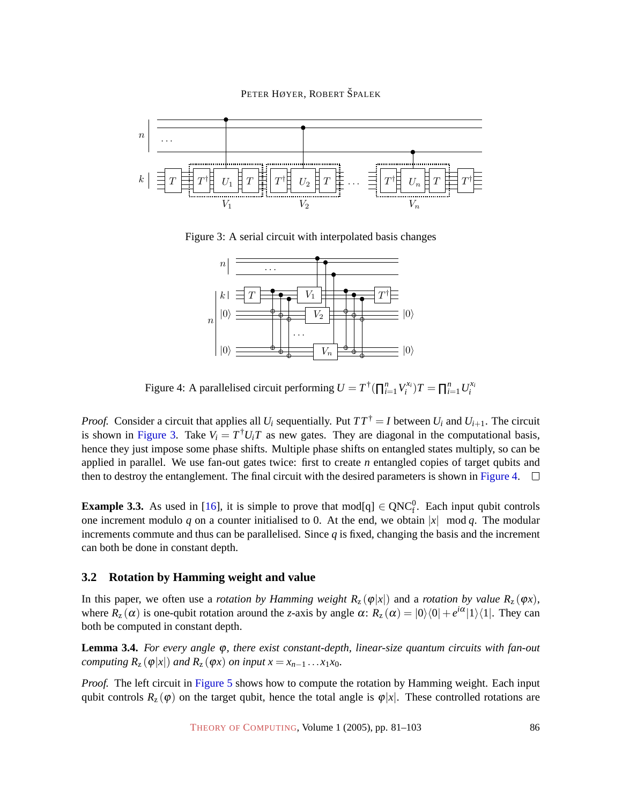PETER HØYER, ROBERT ŠPALEK



Figure 3: A serial circuit with interpolated basis changes

<span id="page-5-0"></span>

<span id="page-5-1"></span>Figure 4: A parallelised circuit performing  $U = T^{\dagger}(\prod_{i=1}^{n} V_i^{x_i})T = \prod_{i=1}^{n} U_i^{x_i}$ 

*Proof.* Consider a circuit that applies all  $U_i$  sequentially. Put  $TT^{\dagger} = I$  between  $U_i$  and  $U_{i+1}$ . The circuit is shown in [Figure 3.](#page-5-0) Take  $V_i = T^{\dagger} U_i T$  as new gates. They are diagonal in the computational basis, hence they just impose some phase shifts. Multiple phase shifts on entangled states multiply, so can be applied in parallel. We use fan-out gates twice: first to create *n* entangled copies of target qubits and then to destroy the entanglement. The final circuit with the desired parameters is shown in [Figure 4.](#page-5-1)  $\Box$ 

<span id="page-5-3"></span>**Example 3.3.** As used in [\[16\]](#page-21-4), it is simple to prove that  $\text{mod}[q] \in \text{QNC}_f^0$ . Each input qubit controls one increment modulo *q* on a counter initialised to 0. At the end, we obtain  $|x|$  mod *q*. The modular increments commute and thus can be parallelised. Since  $q$  is fixed, changing the basis and the increment can both be done in constant depth.

#### **3.2 Rotation by Hamming weight and value**

In this paper, we often use a *rotation by Hamming weight*  $R_z(\varphi|x|)$  and a *rotation by value*  $R_z(\varphi x)$ , where  $R_z(\alpha)$  is one-qubit rotation around the *z*-axis by angle  $\alpha$ :  $R_z(\alpha) = |0\rangle\langle0| + e^{i\alpha}|1\rangle\langle1|$ . They can both be computed in constant depth.

<span id="page-5-2"></span>**Lemma 3.4.** *For every angle* ϕ*, there exist constant-depth, linear-size quantum circuits with fan-out computing*  $R_z(\varphi|x|)$  *and*  $R_z(\varphi x)$  *on input*  $x = x_{n-1} \dots x_1 x_0$ *.* 

*Proof.* The left circuit in [Figure 5](#page-6-0) shows how to compute the rotation by Hamming weight. Each input qubit controls  $R_z(\varphi)$  on the target qubit, hence the total angle is  $\varphi|x|$ . These controlled rotations are

THEORY OF C[OMPUTING](http://dx.doi.org/10.4086/toc), Volume 1 (2005), pp. 81–103 86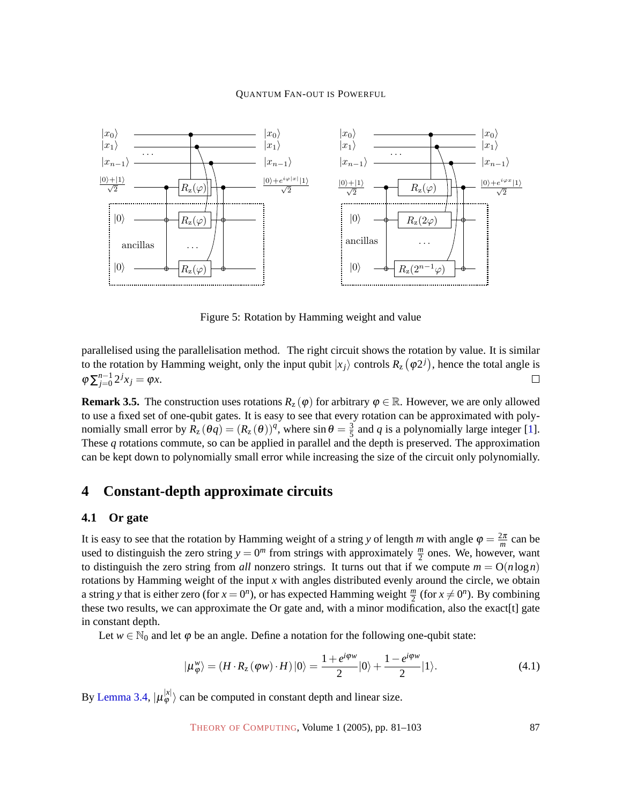

<span id="page-6-0"></span>Figure 5: Rotation by Hamming weight and value

parallelised using the parallelisation method. The right circuit shows the rotation by value. It is similar to the rotation by Hamming weight, only the input qubit  $|x_j\rangle$  controls  $R_z\left(\phi 2^j\right)$ , hence the total angle is  $\varphi \sum_{j=0}^{n-1} 2^j x_j = \varphi x.$  $\Box$ 

<span id="page-6-3"></span>**Remark 3.5.** The construction uses rotations  $R_z(\varphi)$  for arbitrary  $\varphi \in \mathbb{R}$ . However, we are only allowed to use a fixed set of one-qubit gates. It is easy to see that every rotation can be approximated with polynomially small error by  $\overline{R}_z(\theta q) = (R_z(\theta))^q$ , where  $\sin \theta = \frac{3}{5}$  $\frac{3}{5}$  and *q* is a polynomially large integer [\[1\]](#page-20-5). These *q* rotations commute, so can be applied in parallel and the depth is preserved. The approximation can be kept down to polynomially small error while increasing the size of the circuit only polynomially.

### **4 Constant-depth approximate circuits**

#### **4.1 Or gate**

It is easy to see that the rotation by Hamming weight of a string *y* of length *m* with angle  $\varphi = \frac{2\pi}{m}$  can be used to distinguish the zero string  $y = 0^m$  from strings with approximately  $\frac{m}{2}$  ones. We, however, want to distinguish the zero string from *all* nonzero strings. It turns out that if we compute  $m = O(n \log n)$ rotations by Hamming weight of the input *x* with angles distributed evenly around the circle, we obtain a string *y* that is either zero (for  $x = 0^n$ ), or has expected Hamming weight  $\frac{m}{2}$  (for  $x \neq 0^n$ ). By combining these two results, we can approximate the Or gate and, with a minor modification, also the exact [t] gate in constant depth.

Let  $w \in \mathbb{N}_0$  and let  $\varphi$  be an angle. Define a notation for the following one-qubit state:

<span id="page-6-2"></span>
$$
|\mu_{\varphi}^{w}\rangle = (H \cdot R_{z}(\varphi w) \cdot H)|0\rangle = \frac{1 + e^{i\varphi w}}{2}|0\rangle + \frac{1 - e^{i\varphi w}}{2}|1\rangle.
$$
 (4.1)

<span id="page-6-1"></span>By [Lemma 3.4,](#page-5-2)  $|\mu_{\varphi}^{|x|} \rangle$  can be computed in constant depth and linear size.

THEORY OF C[OMPUTING](http://dx.doi.org/10.4086/toc), Volume 1 (2005), pp. 81–103 87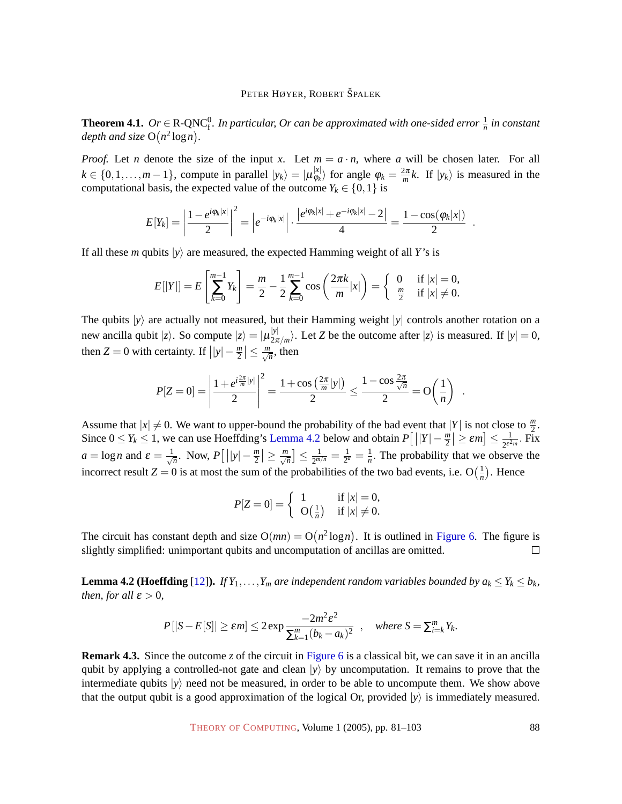**Theorem 4.1.**  $Or \in R$ -QNC $_1^0$ . In particular, Or can be approximated with one-sided error  $\frac{1}{n}$  in constant *depth and size*  $O(n^2 \log n)$ .

*Proof.* Let *n* denote the size of the input *x*. Let  $m = a \cdot n$ , where *a* will be chosen later. For all  $k \in \{0, 1, \ldots, m-1\}$ , compute in parallel  $|y_k\rangle = |\mu_{\varphi_k}^{x}|$  $\langle \varphi_k | \varphi_k \rangle$  for angle  $\varphi_k = \frac{2\pi}{m} k$ . If  $|y_k \rangle$  is measured in the computational basis, the expected value of the outcome  $Y_k \in \{0, 1\}$  is

$$
E[Y_k] = \left|\frac{1 - e^{i\varphi_k|x|}}{2}\right|^2 = \left|e^{-i\varphi_k|x|}\right| \cdot \frac{\left|e^{i\varphi_k|x|} + e^{-i\varphi_k|x|} - 2\right|}{4} = \frac{1 - \cos(\varphi_k|x|)}{2}
$$

If all these *m* qubits  $|\gamma\rangle$  are measured, the expected Hamming weight of all *Y*'s is

$$
E[|Y|] = E\left[\sum_{k=0}^{m-1} Y_k\right] = \frac{m}{2} - \frac{1}{2} \sum_{k=0}^{m-1} \cos\left(\frac{2\pi k}{m}|x|\right) = \begin{cases} 0 & \text{if } |x| = 0, \\ \frac{m}{2} & \text{if } |x| \neq 0. \end{cases}
$$

The qubits  $|y\rangle$  are actually not measured, but their Hamming weight  $|y|$  controls another rotation on a new ancilla qubit  $|z\rangle$ . So compute  $|z\rangle = |\mu_{2\pi}^{y}|$  $\frac{|\mathcal{V}|}{2\pi/m}$ . Let *Z* be the outcome after  $|z\rangle$  is measured. If  $|y| = 0$ , then  $Z = 0$  with certainty. If  $||y| - \frac{m}{2} \le \frac{m}{\sqrt{n}}$ , then

$$
P[Z=0] = \left| \frac{1 + e^{i\frac{2\pi}{m}|y|}}{2} \right|^2 = \frac{1 + \cos\left(\frac{2\pi}{m}|y|\right)}{2} \le \frac{1 - \cos\frac{2\pi}{\sqrt{n}}}{2} = O\left(\frac{1}{n}\right) .
$$

Assume that  $|x| \neq 0$ . We want to upper-bound the probability of the bad event that  $|Y|$  is not close to  $\frac{m}{2}$ . Since  $0 \le Y_k \le 1$ , we can use Hoeffding's [Lemma 4.2](#page-7-0) below and obtain  $P[||Y| - \frac{m}{2}| \ge \varepsilon m] \le \frac{1}{2\varepsilon^2}$  $\frac{1}{2^{\varepsilon^2 m}}$ . Fix  $a = \log n$  and  $\varepsilon = \frac{1}{\sqrt{n}}$  $\frac{1}{n}$ . Now,  $P\left[\left|\left|y\right|-\frac{m}{2}\right|\geq\frac{m}{\sqrt{n}}\right]\leq\frac{1}{2^{m/3}}$  $\frac{1}{2^{m/n}} = \frac{1}{2^{\alpha}}$  $\frac{1}{2^a} = \frac{1}{n}$  $\frac{1}{n}$ . The probability that we observe the incorrect result  $Z = 0$  is at most the sum of the probabilities of the two bad events, i.e.  $O(\frac{1}{n})$  $\frac{1}{n}$ ). Hence

$$
P[Z=0] = \left\{ \begin{array}{ll} 1 & \text{if } |x| = 0, \\ \text{O}\left(\frac{1}{n}\right) & \text{if } |x| \neq 0. \end{array} \right.
$$

The circuit has constant depth and size  $O(mn) = O(n^2 \log n)$ . It is outlined in [Figure 6.](#page-8-0) The figure is slightly simplified: unimportant qubits and uncomputation of ancillas are omitted.  $\Box$ 

<span id="page-7-0"></span>**Lemma 4.2 (Hoeffding** [\[12\]](#page-21-10)). *If*  $Y_1, \ldots, Y_m$  *are independent random variables bounded by*  $a_k \leq Y_k \leq b_k$ *, then, for all*  $\varepsilon > 0$ *,* 

$$
P[|S - E[S]| \ge \varepsilon m] \le 2 \exp \frac{-2m^2 \varepsilon^2}{\sum_{k=1}^m (b_k - a_k)^2}, \quad \text{where } S = \sum_{i=k}^m Y_k.
$$

**Remark 4.3.** Since the outcome *z* of the circuit in [Figure 6](#page-8-0) is a classical bit, we can save it in an ancilla qubit by applying a controlled-not gate and clean  $|y\rangle$  by uncomputation. It remains to prove that the intermediate qubits  $|y\rangle$  need not be measured, in order to be able to uncompute them. We show above that the output qubit is a good approximation of the logical Or, provided  $|y\rangle$  is immediately measured.

THEORY OF C[OMPUTING](http://dx.doi.org/10.4086/toc), Volume 1 (2005), pp. 81–103 88

.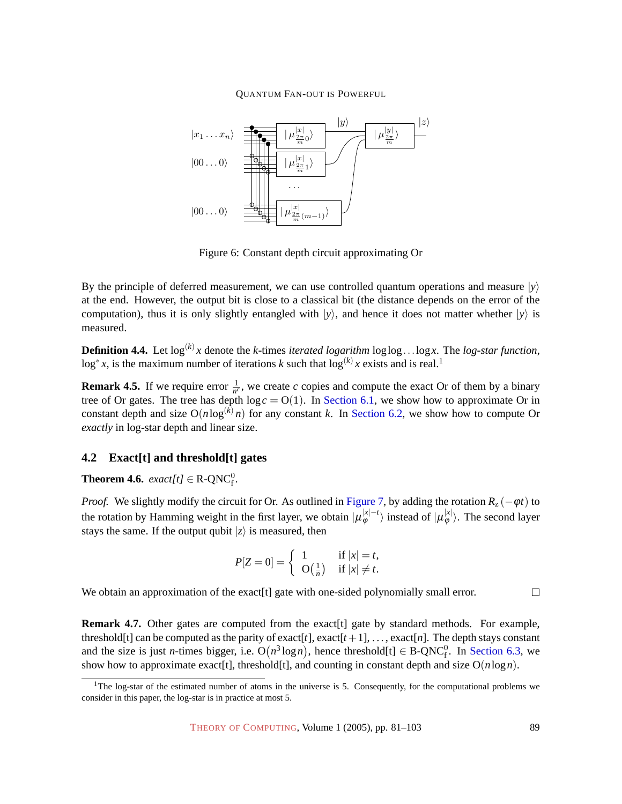

<span id="page-8-0"></span>Figure 6: Constant depth circuit approximating Or

By the principle of deferred measurement, we can use controlled quantum operations and measure  $|\gamma\rangle$ at the end. However, the output bit is close to a classical bit (the distance depends on the error of the computation), thus it is only slightly entangled with  $|\gamma\rangle$ , and hence it does not matter whether  $|\gamma\rangle$  is measured.

**Definition 4.4.** Let  $log^{(k)}x$  denote the *k*-times *iterated logarithm*  $log log...log x$ . The *log-star function*, log<sup>\*</sup> x, is the maximum number of iterations *k* such that  $log^{(k)} x$  exists and is real.<sup>1</sup>

**Remark 4.5.** If we require error  $\frac{1}{n^c}$ , we create *c* copies and compute the exact Or of them by a binary tree of Or gates. The tree has depth  $log c = O(1)$ . In Section [6.1, we show how to approximate Or in](#page-15-0) constant depth and size  $O(n \log^{(k)} n)$  for any constant *k*. In Section [6.2, we show how to compute Or](#page-16-0) *exactly* in log-star depth and linear size.

#### **4.2 Exact[t] and threshold[t] gates**

<span id="page-8-1"></span>**Theorem 4.6.**  $\text{exact}[t] \in \text{R-QNC}_f^0$ .

*Proof.* We slightly modify the circuit for Or. As outlined in [Figure 7,](#page-9-0) by adding the rotation  $R_z(-\varphi t)$  to the rotation by Hamming weight in the first layer, we obtain  $|\mu^{|x|-t}_{\phi}\rangle$  instead of  $|\mu^{|x|}_{\phi}\rangle$ . The second layer stays the same. If the output qubit  $|z\rangle$  is measured, then

$$
P[Z=0] = \begin{cases} 1 & \text{if } |x| = t, \\ O(\frac{1}{n}) & \text{if } |x| \neq t. \end{cases}
$$

We obtain an approximation of the exact [t] gate with one-sided polynomially small error.

**Remark 4.7.** Other gates are computed from the exact [t] gate by standard methods. For example, threshold[t] can be computed as the parity of exact[t], exact[t+1], ..., exact[n]. The depth stays constant and the size is just *n*-times bigger, i.e.  $O(n^3 \log n)$ , hence threshold[t]  $\in B\text{-}QNC_f^0$ . In Section [6.3, we](#page-16-1) show how to approximate exact[t], threshold[t], and counting in constant depth and size O(*n*log*n*).

 $\Box$ 

<sup>&</sup>lt;sup>1</sup>The log-star of the estimated number of atoms in the universe is 5. Consequently, for the computational problems we consider in this paper, the log-star is in practice at most 5.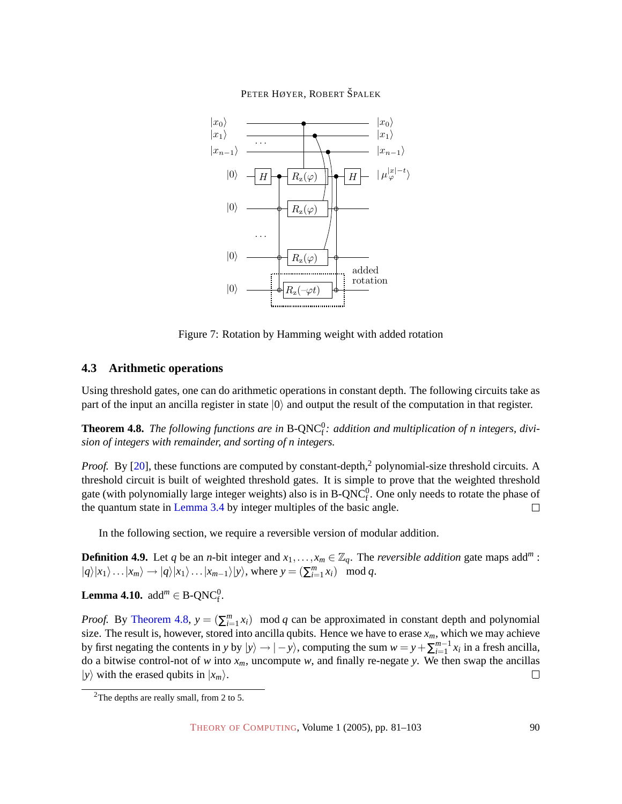

<span id="page-9-0"></span>Figure 7: Rotation by Hamming weight with added rotation

### **4.3 Arithmetic operations**

Using threshold gates, one can do arithmetic operations in constant depth. The following circuits take as part of the input an ancilla register in state  $|0\rangle$  and output the result of the computation in that register.

<span id="page-9-1"></span>**Theorem 4.8.** The following functions are in B-QNC<sup>0</sup>: addition and multiplication of n integers, divi*sion of integers with remainder, and sorting of n integers.*

*Proof.* By [\[20\]](#page-21-5), these functions are computed by constant-depth,<sup>2</sup> polynomial-size threshold circuits. A threshold circuit is built of weighted threshold gates. It is simple to prove that the weighted threshold gate (with polynomially large integer weights) also is in  $B\text{-}QNC_f^0$ . One only needs to rotate the phase of the quantum state in [Lemma 3.4](#page-5-2) by integer multiples of the basic angle.  $\Box$ 

In the following section, we require a reversible version of modular addition.

**Definition 4.9.** Let *q* be an *n*-bit integer and  $x_1, \ldots, x_m \in \mathbb{Z}_q$ . The *reversible addition* gate maps add<sup>*m*</sup>:  $|q\rangle|x_1\rangle\ldots|x_m\rangle \rightarrow |q\rangle|x_1\rangle\ldots|x_{m-1}\rangle|y\rangle$ , where  $y = (\sum_{i=1}^m x_i) \mod q$ .

<span id="page-9-2"></span>**Lemma 4.10.**  $\text{add}^m \in \text{B-QNC}_f^0$ .

*Proof.* By [Theorem 4.8,](#page-9-1)  $y = (\sum_{i=1}^{m} x_i)$  mod *q* can be approximated in constant depth and polynomial size. The result is, however, stored into ancilla qubits. Hence we have to erase  $x_m$ , which we may achieve by first negating the contents in *y* by  $|y\rangle \rightarrow |-y\rangle$ , computing the sum  $w = y + \sum_{i=1}^{m-1} x_i$  in a fresh ancilla, do a bitwise control-not of *w* into  $x_m$ , uncompute *w*, and finally re-negate *y*. We then swap the ancillas  $|y\rangle$  with the erased qubits in  $|x_m\rangle$ .  $\Box$ 

<sup>&</sup>lt;sup>2</sup>The depths are really small, from 2 to 5.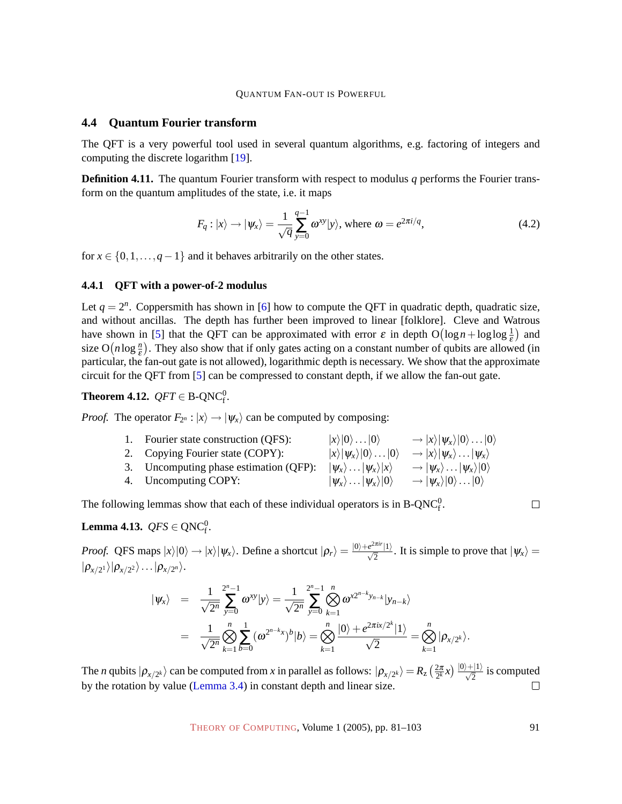#### <span id="page-10-3"></span>**4.4 Quantum Fourier transform**

The QFT is a very powerful tool used in several quantum algorithms, e.g. factoring of integers and computing the discrete logarithm [\[19\]](#page-21-7).

**Definition 4.11.** The quantum Fourier transform with respect to modulus q performs the Fourier transform on the quantum amplitudes of the state, i.e. it maps

$$
F_q: |x\rangle \to |\psi_x\rangle = \frac{1}{\sqrt{q}} \sum_{y=0}^{q-1} \omega^{xy} |y\rangle, \text{ where } \omega = e^{2\pi i/q}, \qquad (4.2)
$$

for  $x \in \{0, 1, \ldots, q-1\}$  and it behaves arbitrarily on the other states.

#### <span id="page-10-2"></span>**4.4.1 QFT with a power-of-2 modulus**

Let  $q = 2^n$ . Coppersmith has shown in [\[6\]](#page-20-7) how to compute the QFT in quadratic depth, quadratic size, and without ancillas. The depth has further been improved to linear [folklore]. Cleve and Watrous have shown in [\[5\]](#page-20-4) that the QFT can be approximated with error  $\varepsilon$  in depth  $O(log n + log log \frac{1}{\varepsilon})$  and size  $O(n \log \frac{n}{\epsilon})$ . They also show that if only gates acting on a constant number of qubits are allowed (in particular, the fan-out gate is not allowed), logarithmic depth is necessary. We show that the approximate circuit for the QFT from [\[5\]](#page-20-4) can be compressed to constant depth, if we allow the fan-out gate.

# <span id="page-10-1"></span>**Theorem 4.12.**  $QFT \in B\text{-}QNC_f^0$ .

*Proof.* The operator  $F_{2^n}$ :  $|x\rangle \rightarrow |\psi_x\rangle$  can be computed by composing:

| 1. Fourier state construction (QFS):   | $ x\rangle 0\rangle 0\rangle$                   | $\rightarrow  x\rangle  \psi_x\rangle  0\rangle \dots  0\rangle$ |
|----------------------------------------|-------------------------------------------------|------------------------------------------------------------------|
| 2. Copying Fourier state (COPY):       | $ x\rangle  \psi_{x}\rangle 0\rangle 0\rangle$  | $\rightarrow  x\rangle  \psi_x\rangle \dots  \psi_x\rangle$      |
| 3. Uncomputing phase estimation (QFP): | $ \psi_x\rangle \dots  \psi_x\rangle  x\rangle$ | $\rightarrow  \psi_x\rangle \dots  \psi_x\rangle  0\rangle$      |
| 4. Uncomputing COPY:                   | $ \psi_x\rangle$ $ \psi_x\rangle 0\rangle$      | $\rightarrow  \psi_x\rangle 0\rangle 0\rangle$                   |

The following lemmas show that each of these individual operators is in  $B\text{-}QNC_f^0$ .

$$
\Box
$$

# <span id="page-10-0"></span>**Lemma 4.13.**  $QFS \in QNC_f^0$ .

*Proof.* QFS maps  $|x\rangle|0\rangle \rightarrow |x\rangle|\psi_x\rangle$ . Define a shortcut  $|\rho_r\rangle = \frac{|0\rangle + e^{2\pi ir}|1\rangle}{\sqrt{2}}$ . It is simple to prove that  $|\psi_x\rangle =$  $|\rho_{x/2^1}\rangle|\rho_{x/2^2}\rangle\ldots|\rho_{x/2^n}\rangle.$ 

$$
\begin{array}{rcl}\n|\psi_x\rangle &=& \frac{1}{\sqrt{2^n}} \sum_{y=0}^{2^n-1} \omega^{xy} |y\rangle = \frac{1}{\sqrt{2^n}} \sum_{y=0}^{2^n-1} \bigotimes_{k=1}^n \omega^{x2^{n-k}y_{n-k}} |y_{n-k}\rangle \\
&=& \frac{1}{\sqrt{2^n}} \bigotimes_{k=1}^n \sum_{b=0}^n (\omega^{2^{n-k}x})^b |b\rangle = \bigotimes_{k=1}^n \frac{|0\rangle + e^{2\pi ix/2^k} |1\rangle}{\sqrt{2}} = \bigotimes_{k=1}^n |\rho_{x/2^k}\rangle.\n\end{array}
$$

The *n* qubits  $|\rho_{x/2^k}\rangle$  can be computed from *x* in parallel as follows:  $|\rho_{x/2^k}\rangle = R_z \left(\frac{2\pi}{2^k} x\right) \frac{|0\rangle + |1\rangle}{\sqrt{2}}$  is computed by the rotation by value [\(Lemma 3.4\)](#page-5-2) in constant depth and linear size.  $\Box$ 

THEORY OF C[OMPUTING](http://dx.doi.org/10.4086/toc), Volume 1 (2005), pp. 81–103 91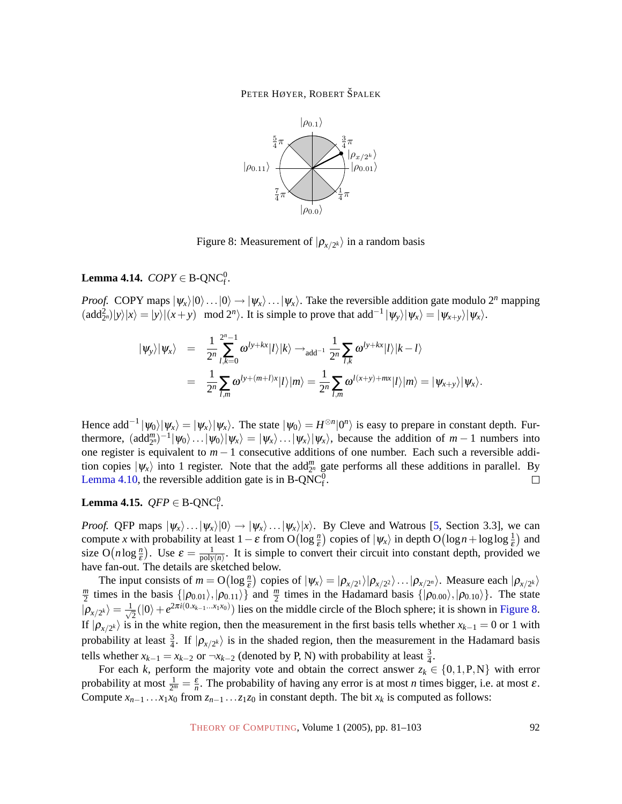

<span id="page-11-0"></span>Figure 8: Measurement of  $|\rho_{x/2^k}\rangle$  in a random basis

# <span id="page-11-1"></span>**Lemma 4.14.**  $COPY \in B\text{-}QNC_f^0$ .

*Proof.* COPY maps  $|\psi_x\rangle|0\rangle...|0\rangle \rightarrow |\psi_x\rangle...|\psi_x\rangle$ . Take the reversible addition gate modulo 2<sup>*n*</sup> mapping  $(\text{add}_{2^n}^2)|y\rangle|x\rangle = |y\rangle|(x+y) \mod 2^n$ . It is simple to prove that  $\text{add}^{-1}|\psi_y\rangle|\psi_x\rangle = |\psi_{x+y}\rangle|\psi_x\rangle$ .

$$
\begin{array}{rcl}\n|\psi_y\rangle|\psi_x\rangle &=& \frac{1}{2^n}\sum\limits_{l,k=0}^{2^n-1}\omega^{ly+kx}|l\rangle|k\rangle \rightarrow_{\text{add}^{-1}}\frac{1}{2^n}\sum\limits_{l,k}\omega^{ly+kx}|l\rangle|k-l\rangle \\
&=& \frac{1}{2^n}\sum\limits_{l,m}\omega^{ly+(m+l)x}|l\rangle|m\rangle = \frac{1}{2^n}\sum\limits_{l,m}\omega^{l(x+y)+mx}|l\rangle|m\rangle = |\psi_{x+y}\rangle|\psi_x\rangle.\n\end{array}
$$

Hence add<sup>-1</sup>  $|\psi_0\rangle |\psi_x\rangle = |\psi_x\rangle |\psi_x\rangle$ . The state  $|\psi_0\rangle = H^{\otimes n} |0^n\rangle$  is easy to prepare in constant depth. Furthermore,  $(\text{add}_{2^n}^m)^{-1}|\psi_0\rangle\ldots|\psi_0\rangle|\psi_x\rangle = |\psi_x\rangle\ldots|\psi_x\rangle|\psi_x\rangle$ , because the addition of  $m-1$  numbers into one register is equivalent to *m* − 1 consecutive additions of one number. Each such a reversible addition copies  $|\psi_x\rangle$  into 1 register. Note that the add<sup>m</sup> gate performs all these additions in parallel. By [Lemma 4.10,](#page-9-2) the reversible addition gate is in B-QNC $_f^0$ .  $\Box$ 

# <span id="page-11-2"></span>**Lemma 4.15.**  $QFP \in B\text{-}QNC_f^0$ .

*Proof.* QFP maps  $|\psi_x\rangle$ ... $|\psi_x\rangle|0\rangle \rightarrow |\psi_x\rangle$ ... $|\psi_x\rangle|x\rangle$ . By Cleve and Watrous [\[5,](#page-20-4) Section 3.3], we can compute *x* with probability at least  $1 - \varepsilon$  from  $O(\log \frac{n}{\varepsilon})$  copies of  $|\psi_x\rangle$  in depth  $O(\log n + \log \log \frac{1}{\varepsilon})$  and size  $O(n \log \frac{n}{\varepsilon})$ . Use  $\varepsilon = \frac{1}{\text{poly}}$  $\frac{1}{\text{poly}(n)}$ . It is simple to convert their circuit into constant depth, provided we have fan-out. The details are sketched below.

The input consists of  $m = O(\log \frac{n}{\epsilon})$  copies of  $|\psi_x\rangle = |\rho_{x/2} \rangle |\rho_{x/2} \rangle \dots |\rho_{x/2^n} \rangle$ . Measure each  $|\rho_{x/2^k}\rangle$ The input consists of  $m = O(\log_{\epsilon}$  $\frac{m}{2}$  times in the basis  $\{|\rho_{0.01}\rangle, |\rho_{0.11}\rangle\}$  and  $\frac{m}{2}$  times in the Hadamard basis  $\{|\rho_{0.00}\rangle, |\rho_{0.10}\rangle\}$ . The state  $|\rho_{x/2^k}\rangle = \frac{1}{\sqrt{2^k}}$  $\frac{1}{2}(|0\rangle + e^{2\pi i(0.x_{k-1}...x_1x_0)})$  lies on the middle circle of the Bloch sphere; it is shown in [Figure 8.](#page-11-0) If  $|\rho_{x/2^k}\rangle$  is in the white region, then the measurement in the first basis tells whether  $x_{k-1}=0$  or 1 with probability at least  $\frac{3}{4}$ . If  $|\rho_{x/2^k}\rangle$  is in the shaded region, then the measurement in the Hadamard basis tells whether  $x_{k-1} = x_{k-2}$  or  $\neg x_{k-2}$  (denoted by P, N) with probability at least  $\frac{3}{4}$ .

For each *k*, perform the majority vote and obtain the correct answer  $z_k \in \{0, 1, P, N\}$  with error probability at most  $\frac{1}{2^m} = \frac{\varepsilon}{n}$ . The probability of having any error is at most *n* times bigger, i.e. at most  $\varepsilon$ . Compute  $x_{n-1}$ ... $x_1x_0$  from  $z_{n-1}$ ... $z_1z_0$  in constant depth. The bit  $x_k$  is computed as follows:

THEORY OF C[OMPUTING](http://dx.doi.org/10.4086/toc), Volume 1 (2005), pp. 81–103 92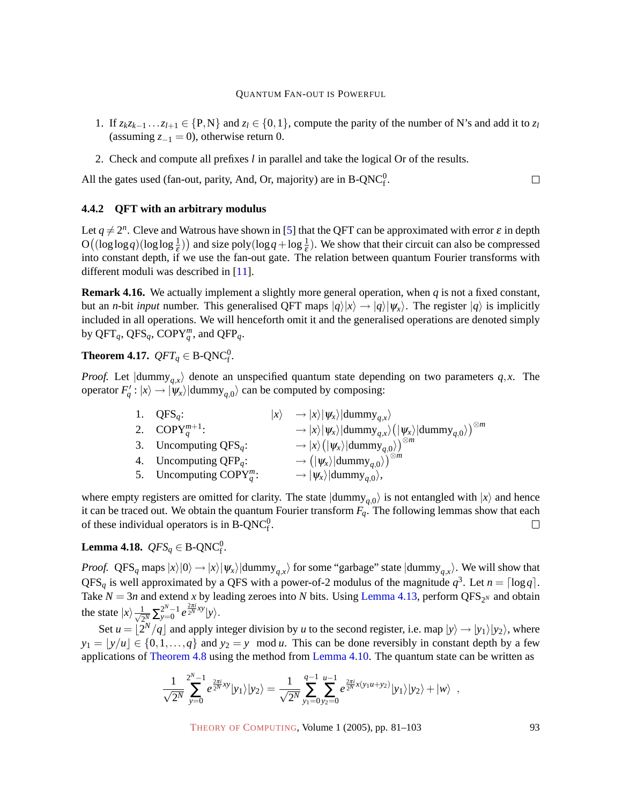- 1. If  $z_kz_{k-1} \ldots z_{l+1} \in \{P,N\}$  and  $z_l \in \{0,1\}$ , compute the parity of the number of N's and add it to  $z_l$ (assuming  $z_{-1} = 0$ ), otherwise return 0.
- 2. Check and compute all prefixes *l* in parallel and take the logical Or of the results.

All the gates used (fan-out, parity, And, Or, majority) are in  $B\text{-}QNC_f^0$ .  $\Box$ 

#### <span id="page-12-2"></span>**4.4.2 QFT with an arbitrary modulus**

Let  $q \neq 2^n$ . Cleve and Watrous have shown in [\[5\]](#page-20-4) that the QFT can be approximated with error  $\varepsilon$  in depth  $O((\log \log q)(\log \log \frac{1}{\epsilon}))$  and size poly $(\log q + \log \frac{1}{\epsilon})$ . We show that their circuit can also be compressed into constant depth, if we use the fan-out gate. The relation between quantum Fourier transforms with different moduli was described in [\[11\]](#page-21-6).

**Remark 4.16.** We actually implement a slightly more general operation, when *q* is not a fixed constant, but an *n*-bit *input* number. This generalised QFT maps  $|q\rangle|x\rangle \rightarrow |q\rangle| \psi_x\rangle$ . The register  $|q\rangle$  is implicitly included in all operations. We will henceforth omit it and the generalised operations are denoted simply by  $QFT_q$ ,  $QFS_q$ ,  $COPY_q^m$ , and  $QFP_q$ .

<span id="page-12-0"></span>**Theorem 4.17.**  $QFT_q \in \text{B-QNC}_f^0$ .

*Proof.* Let  $\langle \text{dummy}_{q,x} \rangle$  denote an unspecified quantum state depending on two parameters  $q$ ,*x*. The operator  $F'_q$ :  $|x\rangle \rightarrow |\psi_x\rangle|$ dummy<sub>q,0</sub> $\rangle$  can be computed by composing:

| 1. $QFS_a$ :                           | $ x\rangle \rightarrow  x\rangle  \psi_x\rangle  {\text{dummy}}_{a,x}\rangle$                                                                                   |
|----------------------------------------|-----------------------------------------------------------------------------------------------------------------------------------------------------------------|
| 2. COPY <sup><i>m</i>+1</sup> :        | $\langle \lambda \rangle \rightarrow  x\rangle  \psi_x\rangle  \mathrm{dummy}_{q,x}\rangle \big(  \psi_x\rangle  \mathrm{dummy}_{q,0}\rangle \big)^{\otimes m}$ |
| 3. Uncomputing $QFS_q$ :               | $\langle \hspace{.06cm} \rightarrow \vert x \rangle \big( \vert \hspace{.04cm} \psi_{x} \rangle \vert \text{dummy}_{a,0} \rangle \big)^{\otimes m}$             |
| 4. Uncomputing $QFP_q$ :               | $\rightarrow$ $( \psi_x\rangle $ dummy <sub>a.0</sub> $\rangle)^{\otimes m}$                                                                                    |
| 5. Uncomputing $\text{COPY}_{q}^{m}$ : | $\rightarrow  \psi_{x}\rangle  {\rm dummy}_{q,0}\rangle,$                                                                                                       |

where empty registers are omitted for clarity. The state  $|{\text{dummy}}_{q,0}\rangle$  is not entangled with  $|x\rangle$  and hence it can be traced out. We obtain the quantum Fourier transform  $F_q$ . The following lemmas show that each of these individual operators is in B-QNC $_f^0$ .  $\Box$ 

<span id="page-12-1"></span>**Lemma 4.18.**  $QFS_q \in B\text{-}QNC_f^0$ .

*Proof.* QFS<sub>q</sub> maps  $|x\rangle|0\rangle \rightarrow |x\rangle|\psi_x\rangle|$ dummy<sub>q,x</sub> $\rangle$  for some "garbage" state  $|\text{dummy}_{q,x}\rangle$ . We will show that  $QFS_q$  is well approximated by a QFS with a power-of-2 modulus of the magnitude  $q^3$ . Let  $n = \lceil \log q \rceil$ . Take  $N = 3n$  and extend *x* by leading zeroes into *N* bits. Using [Lemma 4.13,](#page-10-0) perform QFS<sub>2</sub>*N* and obtain the state  $|x\rangle \frac{1}{\sqrt{2}}$  $\frac{1}{2^{N}}\sum_{y=0}^{2^{N}-1}e^{\frac{2\pi i}{2^{N}}xy}|y\rangle.$ 

Set  $u = \lfloor 2^N/q \rfloor$  and apply integer division by *u* to the second register, i.e. map  $|y\rangle \rightarrow |y_1\rangle |y_2\rangle$ , where  $y_1 = |y/u| \in \{0, 1, ..., q\}$  and  $y_2 = y \mod u$ . This can be done reversibly in constant depth by a few applications of [Theorem 4.8](#page-9-1) using the method from [Lemma 4.10.](#page-9-2) The quantum state can be written as

$$
\frac{1}{\sqrt{2^N}} \sum_{y=0}^{2^N-1} e^{\frac{2\pi i}{2^N}xy} |y_1\rangle |y_2\rangle = \frac{1}{\sqrt{2^N}} \sum_{y_1=0}^{q-1} \sum_{y_2=0}^{u-1} e^{\frac{2\pi i}{2^N}x(y_1u+y_2)} |y_1\rangle |y_2\rangle + |w\rangle,
$$

THEORY OF C[OMPUTING](http://dx.doi.org/10.4086/toc), Volume 1 (2005), pp. 81–103 93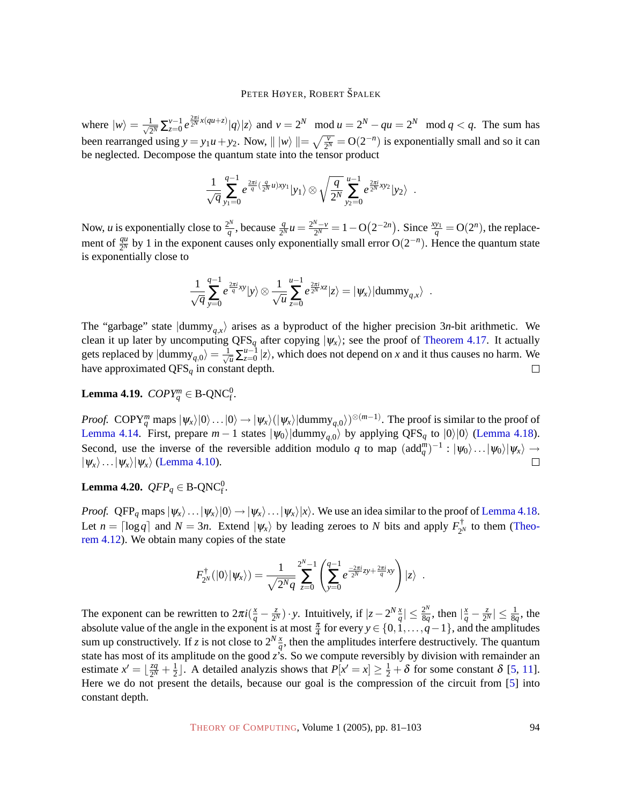where  $|w\rangle = \frac{1}{\sqrt{2}}$  $\frac{1}{2^N}\sum_{z=0}^{v-1}e^{\frac{2\pi i}{2^N}x(qu+z)}|q\rangle|z\rangle$  and  $v=2^N \mod u=2^N-qu=2^N \mod q < q$ . The sum has been rearranged using  $y = y_1u + y_2$ . Now,  $||w|| = \sqrt{\frac{v}{2^N}} = O(2^{-n})$  is exponentially small and so it can be neglected. Decompose the quantum state into the tensor product

$$
\frac{1}{\sqrt{q}}\sum_{y_1=0}^{q-1} e^{\frac{2\pi i}{q}(\frac{q}{2^N}u)xy_1}|y_1\rangle \otimes \sqrt{\frac{q}{2^N}}\sum_{y_2=0}^{u-1} e^{\frac{2\pi i}{2^N}xy_2}|y_2\rangle.
$$

Now, *u* is exponentially close to  $\frac{2^N}{a}$  $\frac{Q^N}{q}$ , because  $\frac{q}{2^N}u = \frac{2^N - v}{2^N}$  $\frac{N_{-v}}{2^N} = 1 - \mathcal{O}(2^{-2n}).$  Since  $\frac{xy_1}{q} = \mathcal{O}(2^n)$ , the replacement of  $\frac{qu}{2^N}$  by 1 in the exponent causes only exponentially small error O(2<sup>-*n*</sup>). Hence the quantum state is exponentially close to

$$
\frac{1}{\sqrt{q}}\sum_{y=0}^{q-1}e^{\frac{2\pi i}{q}xy}|y\rangle\otimes\frac{1}{\sqrt{u}}\sum_{z=0}^{u-1}e^{\frac{2\pi i}{2^N}xz}|z\rangle=|\psi_x\rangle|\text{dummy}_{q,x}\rangle\enspace.
$$

The "garbage" state  $\langle$  dummy<sub>q,*x*</sub> $\rangle$ </sub> arises as a byproduct of the higher precision 3*n*-bit arithmetic. We clean it up later by uncomputing QFS<sub>q</sub> after copying  $|\psi_x\rangle$ ; see the proof of [Theorem 4.17.](#page-12-0) It actually gets replaced by  $|\text{dummy}_{q,0}\rangle = \frac{1}{\sqrt{u}}\sum_{z=0}^{u-1}|z\rangle$ , which does not depend on *x* and it thus causes no harm. We have approximated QFS*<sup>q</sup>* in constant depth.  $\Box$ 

**Lemma 4.19.**  $\mathit{COPY}^m_q \in \mathrm{B}\text{-}\mathrm{QNC}_\mathrm{f}^0$ .

*Proof.* COPY<sup>*m*</sup> maps  $|\psi_x\rangle|0\rangle...|0\rangle \rightarrow |\psi_x\rangle(|\psi_x\rangle|$ dummy<sub>*q*,0</sub> $\rangle$ )<sup>⊗(*m*−1)</sup>. The proof is similar to the proof of [Lemma 4.14.](#page-11-1) First, prepare  $m-1$  states  $|\psi_0\rangle$  dummy<sub>q,0</sub> by applying QFS<sub>q</sub> to  $|0\rangle|0\rangle$  [\(Lemma 4.18\)](#page-12-1). Second, use the inverse of the reversible addition modulo *q* to map  $(\text{add}_{q}^{m})^{-1} : |\psi_0\rangle \dots |\psi_0\rangle |\psi_x\rangle \rightarrow$  $|\psi_x\rangle$ ... $|\psi_x\rangle|\psi_x\rangle$  [\(Lemma 4.10\)](#page-9-2).  $\Box$ 

# <span id="page-13-0"></span>**Lemma 4.20.**  $QFP_q \in B\text{-}QNC_f^0$ .

*Proof.* QFP<sub>q</sub> maps  $|\psi_x\rangle \dots |\psi_x\rangle |0\rangle \rightarrow |\psi_x\rangle \dots |\psi_x\rangle |x\rangle$ . We use an idea similar to the proof of [Lemma 4.18.](#page-12-1) Let  $n = \lceil \log q \rceil$  and  $N = 3n$ . Extend  $|\psi_x\rangle$  by leading zeroes to *N* bits and apply  $F_{\gamma}^{\dagger}$  $\sum_{2^N}$  to them [\(Theo](#page-10-1)[rem 4.12\)](#page-10-1). We obtain many copies of the state

$$
F_{2^N}^{\dagger}(|0\rangle|\psi_x\rangle) = \frac{1}{\sqrt{2^Nq}} \sum_{z=0}^{2^N-1} \left( \sum_{y=0}^{q-1} e^{\frac{-2\pi i}{2^N}zy + \frac{2\pi i}{q}xy} \right) |z\rangle.
$$

The exponent can be rewritten to  $2\pi i(\frac{x}{q} - \frac{z}{2^{\gamma}})$  $\frac{z}{2^N}$ ) · *y*. Intuitively, if  $|z - 2^N \frac{x}{q}|$  ≤  $\frac{2^N}{8q}$  $\frac{2^N}{8q}$ , then  $\left|\frac{x}{q} - \frac{z}{2^N}\right|$  $\frac{z}{2^N}| \leq \frac{1}{8q}$ , the absolute value of the angle in the exponent is at most  $\frac{\pi}{4}$  for every  $y \in \{0, 1, ..., q-1\}$ , and the amplitudes sum up constructively. If *z* is not close to  $2^N \frac{x}{q}$ , then the amplitudes interfere destructively. The quantum state has most of its amplitude on the good *z*'s. So we compute reversibly by division with remainder an estimate  $x' = \frac{zq}{2M}$  $rac{zq}{2^N} + \frac{1}{2}$  $\frac{1}{2}$ . A detailed analyzis shows that  $P[x' = x] \ge \frac{1}{2} + \delta$  for some constant  $\delta$  [\[5,](#page-20-4) [11\]](#page-21-6). Here we do not present the details, because our goal is the compression of the circuit from [\[5\]](#page-20-4) into constant depth.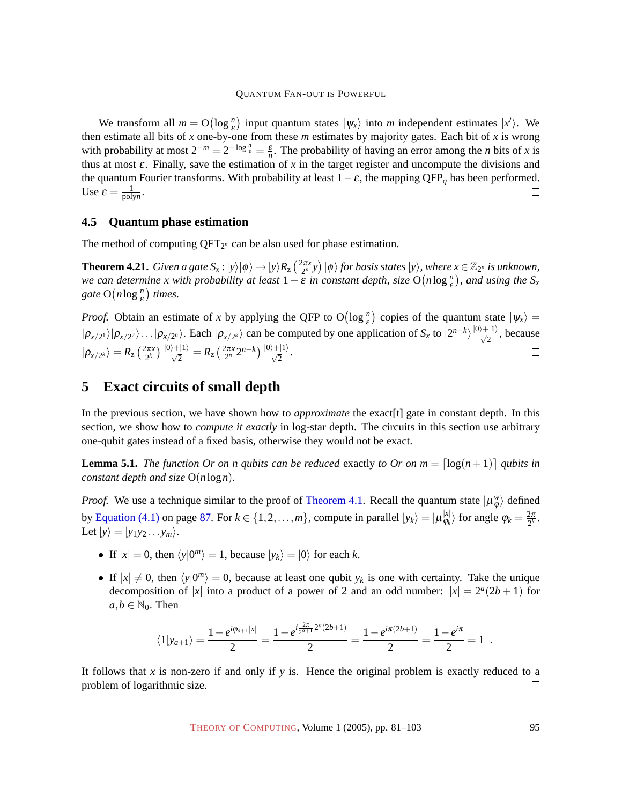We transform all  $m = O(\log_{\frac{n}{\epsilon}})$  input quantum states  $|\psi_x\rangle$  into *m* independent estimates  $|x'\rangle$ . We then estimate all bits of *x* one-by-one from these *m* estimates by majority gates. Each bit of *x* is wrong with probability at most  $2^{-m} = 2^{-\log \frac{n}{\varepsilon}} = \frac{\varepsilon}{n}$ . The probability of having an error among the *n* bits of *x* is thus at most ε. Finally, save the estimation of *x* in the target register and uncompute the divisions and the quantum Fourier transforms. With probability at least 1−ε, the mapping QFP*<sup>q</sup>* has been performed. Use  $\varepsilon = \frac{1}{\text{poly}}$  $\frac{1}{\text{polyn}}$ .  $\Box$ 

#### **4.5 Quantum phase estimation**

The method of computing  $QFT_{2^n}$  can be also used for phase estimation.

**Theorem 4.21.** *Given a gate*  $S_x$ :  $|y\rangle |\phi\rangle \rightarrow |y\rangle R_z \left(\frac{2\pi x}{2^n}y\right) |\phi\rangle$  *for basis states*  $|y\rangle$ *, where*  $x \in \mathbb{Z}_{2^n}$  *is unknown, we can determine x with probability at least*  $1 - \varepsilon$  *in constant depth, size*  $O(n \log \frac{n}{\varepsilon})$ *, and using the*  $S_x$ gate  $O(n \log \frac{n}{\varepsilon})$  times.

*Proof.* Obtain an estimate of *x* by applying the QFP to  $O(log \frac{n}{\epsilon})$  copies of the quantum state  $|\psi_x\rangle$  =  $|\rho_{x/2} \rangle |\rho_{x/2} \rangle \dots |\rho_{x/2^n} \rangle$ . Each  $|\rho_{x/2^k} \rangle$  can be computed by one application of  $S_x$  to  $|2^{n-k} \rangle \frac{|0\rangle + |1\rangle}{\sqrt{2}}$ , because  $|\rho_{x/2^k}\rangle = R_{\mathrm{z}}\left(\frac{2\pi x}{2^k}\right)\frac{|0\rangle+|1\rangle}{\sqrt{2}} = R_{\mathrm{z}}\left(\frac{2\pi x}{2^n}2^{n-k}\right)\frac{|0\rangle+|1\rangle}{\sqrt{2}}.$  $\Box$ 

# <span id="page-14-0"></span>**5 Exact circuits of small depth**

In the previous section, we have shown how to *approximate* the exact[t] gate in constant depth. In this section, we show how to *compute it exactly* in log-star depth. The circuits in this section use arbitrary one-qubit gates instead of a fixed basis, otherwise they would not be exact.

<span id="page-14-1"></span>**Lemma 5.1.** *The function Or on n qubits can be reduced* exactly *to Or on m* =  $\lceil \log(n+1) \rceil$  *qubits in constant depth and size* O(*n*log*n*)*.*

*Proof.* We use a technique similar to the proof of [Theorem 4.1.](#page-6-1) Recall the quantum state  $|\mu^w_{\varphi}\rangle$  defined by [Equation \(4.1\)](#page-6-2) on page [87.](#page-6-2) For  $k \in \{1, 2, ..., m\}$ , compute in parallel  $|y_k\rangle = |\mu_{\varphi_k}^{x}|$  $\vert x \vert \overline{\varphi_k}$  for angle  $\varphi_k = \frac{2\pi}{2^k}$ . Let  $|y\rangle = |y_1y_2...y_m\rangle$ .

- If  $|x| = 0$ , then  $\langle y|0^m \rangle = 1$ , because  $|y_k \rangle = |0\rangle$  for each *k*.
- If  $|x| \neq 0$ , then  $\langle y|0^m \rangle = 0$ , because at least one qubit  $y_k$  is one with certainty. Take the unique decomposition of |*x*| into a product of a power of 2 and an odd number:  $|x| = 2^a(2b+1)$  for  $a, b \in \mathbb{N}_0$ . Then

$$
\langle 1|y_{a+1}\rangle = \frac{1-e^{i\varphi_{a+1}|x|}}{2} = \frac{1-e^{i\frac{2\pi}{2^{a+1}}2^a(2b+1)}}{2} = \frac{1-e^{i\pi(2b+1)}}{2} = \frac{1-e^{i\pi}}{2} = 1.
$$

It follows that *x* is non-zero if and only if *y* is. Hence the original problem is exactly reduced to a problem of logarithmic size.  $\Box$ 

THEORY OF C[OMPUTING](http://dx.doi.org/10.4086/toc), Volume 1 (2005), pp. 81–103 95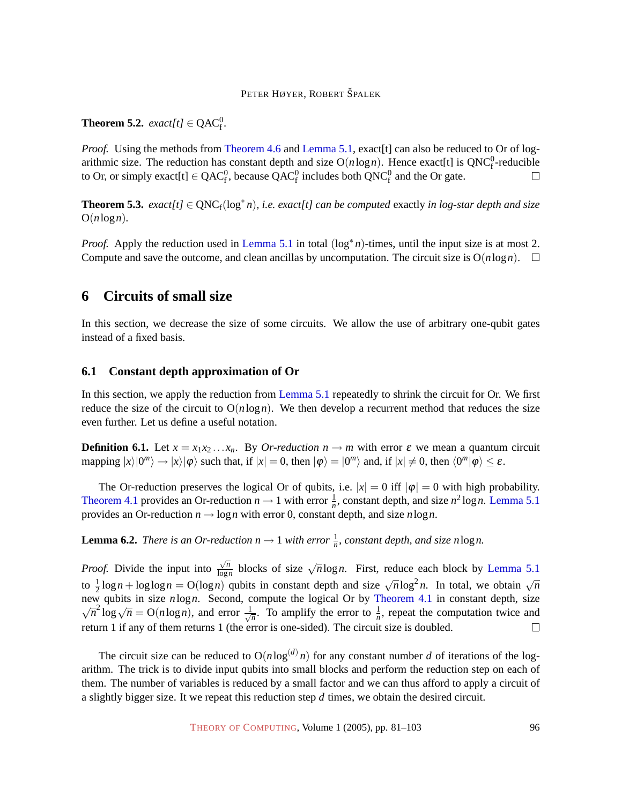<span id="page-15-3"></span>**Theorem 5.2.** *exact*[t]  $\in$  QAC<sup>0</sup><sub>f</sub>.

*Proof.* Using the methods from [Theorem 4.6](#page-8-1) and [Lemma 5.1,](#page-14-1) exact [t] can also be reduced to Or of logarithmic size. The reduction has constant depth and size  $O(n \log n)$ . Hence exact[t] is  $QNC_f^0$ -reducible to Or, or simply exact[t]  $\in$  QAC<sup>0</sup><sub>f</sub>, because QAC<sup>0</sup><sub>f</sub> includes both QNC<sup>0</sup><sub>f</sub> and the Or gate.  $\Box$ 

<span id="page-15-2"></span>**Theorem 5.3.**  $exact[t] \in \text{QNC}_f(\log^* n)$ , *i.e. exact*[t] can be computed exactly in log-star depth and size  $O(n \log n)$ .

*Proof.* Apply the reduction used in [Lemma 5.1](#page-14-1) in total (log<sup>\*</sup>n)-times, until the input size is at most 2. Compute and save the outcome, and clean ancillas by uncomputation. The circuit size is  $O(n \log n)$ .

### **6 Circuits of small size**

In this section, we decrease the size of some circuits. We allow the use of arbitrary one-qubit gates instead of a fixed basis.

#### <span id="page-15-0"></span>**6.1 Constant depth approximation of Or**

In this section, we apply the reduction from [Lemma 5.1](#page-14-1) repeatedly to shrink the circuit for Or. We first reduce the size of the circuit to  $O(n \log n)$ . We then develop a recurrent method that reduces the size even further. Let us define a useful notation.

**Definition 6.1.** Let  $x = x_1x_2...x_n$ . By *Or-reduction n*  $\rightarrow$  *m* with error  $\varepsilon$  we mean a quantum circuit  $\text{mapping } |x\rangle|0^m\rangle \rightarrow |x\rangle|\varphi\rangle \text{ such that, if } |x| = 0 \text{, then } |\varphi\rangle = |0^m\rangle \text{ and, if } |x| \neq 0 \text{, then } \langle 0^m|\varphi\rangle \leq \varepsilon.$ 

The Or-reduction preserves the logical Or of qubits, i.e.  $|x| = 0$  iff  $|\varphi| = 0$  with high probability. [Theorem 4.1](#page-6-1) provides an Or-reduction  $n \to 1$  with error  $\frac{1}{n}$ , constant depth, and size  $n^2 \log n$ . [Lemma 5.1](#page-14-1) provides an Or-reduction  $n \rightarrow \log n$  with error 0, constant depth, and size  $n \log n$ .

<span id="page-15-1"></span>**Lemma 6.2.** *There is an Or-reduction*  $n \rightarrow 1$  *with error*  $\frac{1}{n}$ *, constant depth, and size n*log*n*.

√ *n*  $\frac{\sqrt{n}}{\log n}$  blocks of size  $\sqrt{n} \log n$ . First, reduce each block by [Lemma 5.1](#page-14-1) *Proof.* Divide the input into to  $\frac{1}{2} \log n + \log \log n = O(\log n)$  qubits in constant depth and size  $\sqrt{n} \log^2 n$ . In total, we obtain  $\sqrt{n}$ new qubits in size *n*log*n*. Second, compute the logical Or by [Theorem 4.1](#page-6-1) in constant depth, size µr  $\overline{n}^2 \log \sqrt{n} = O(n \log n)$ , and error  $\frac{1}{\sqrt{n}}$  $\frac{1}{n}$ . To amplify the error to  $\frac{1}{n}$ , repeat the computation twice and return 1 if any of them returns 1 (the error is one-sided). The circuit size is doubled.  $\Box$ 

The circuit size can be reduced to  $O(n \log^{(d)} n)$  for any constant number *d* of iterations of the logarithm. The trick is to divide input qubits into small blocks and perform the reduction step on each of them. The number of variables is reduced by a small factor and we can thus afford to apply a circuit of a slightly bigger size. It we repeat this reduction step *d* times, we obtain the desired circuit.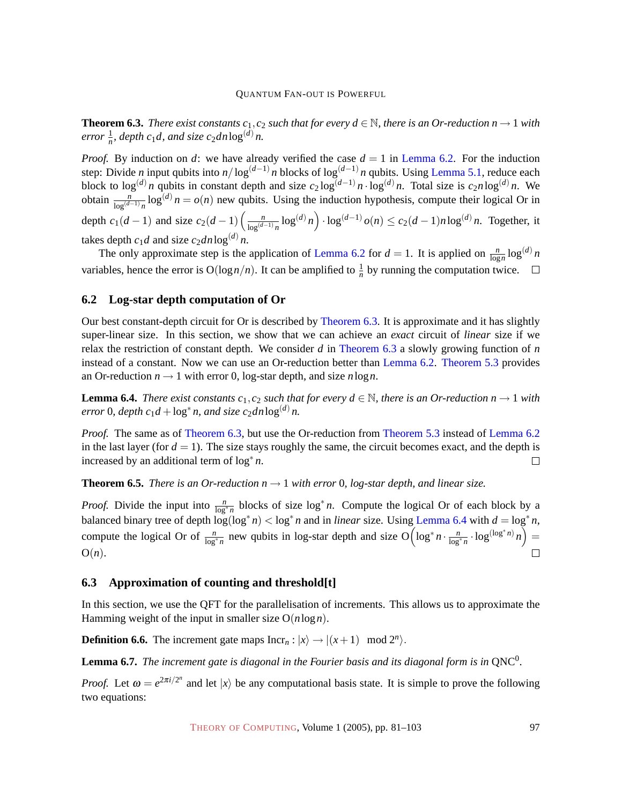<span id="page-16-2"></span>**Theorem 6.3.** *There exist constants c*<sub>1</sub>, *c*<sub>2</sub> *such that for every d*  $\in \mathbb{N}$ *, there is an Or-reduction n*  $\rightarrow$  1 *with*  $error \frac{1}{n}$ , depth  $c_1d$ , and size  $c_2dn\log^{(d)} n$ .

*Proof.* By induction on *d*: we have already verified the case  $d = 1$  in [Lemma 6.2.](#page-15-1) For the induction step: Divide *n* input qubits into *n*/log<sup>(*d*−1)</sup> *n* blocks of log<sup>(*d*−1)</sup> *n* qubits. Using [Lemma 5.1,](#page-14-1) reduce each block to  $\log^{(d)} n$  qubits in constant depth and size  $c_2 \log^{(d-1)} n \cdot \log^{(d)} n$ . Total size is  $c_2 n \log^{(d)} n$ . We obtain  $\frac{n}{\log^{(d-1)} n} \log^{(d)} n = o(n)$  new qubits. Using the induction hypothesis, compute their logical Or in depth  $c_1(d-1)$  and size  $c_2(d-1)$   $\left(\frac{n}{\log(d)}\right)$  $\frac{n}{\log^{(d-1)} n}$  log<sup>(*d*)</sup> *n*) ⋅ log<sup>(*d*-1)</sup> *o*(*n*) ≤ *c*<sub>2</sub>(*d* − 1)*n* log<sup>(*d*)</sup> *n*. Together, it takes depth  $c_1d$  and size  $c_2dn\log^{(d)} n$ .

The only approximate step is the application of [Lemma 6.2](#page-15-1) for  $d = 1$ . It is applied on  $\frac{n}{\log n} \log^{(d)} n$ variables, hence the error is  $O(log n/n)$ . It can be amplified to  $\frac{1}{n}$  by running the computation twice.

#### <span id="page-16-0"></span>**6.2 Log-star depth computation of Or**

Our best constant-depth circuit for Or is described by [Theorem 6.3.](#page-16-2) It is approximate and it has slightly super-linear size. In this section, we show that we can achieve an *exact* circuit of *linear* size if we relax the restriction of constant depth. We consider *d* in [Theorem 6.3](#page-16-2) a slowly growing function of *n* instead of a constant. Now we can use an Or-reduction better than [Lemma 6.2.](#page-15-1) [Theorem 5.3](#page-15-2) provides an Or-reduction  $n \rightarrow 1$  with error 0, log-star depth, and size *n* log *n*.

<span id="page-16-3"></span>**Lemma 6.4.** *There exist constants c*<sub>1</sub>,*c*<sub>2</sub> *such that for every*  $d \in \mathbb{N}$ *, there is an Or-reduction n*  $\rightarrow$  1 *with*  $error 0$ ,  $depth c_1d + log^* n$ , and size  $c_2dn \log^{(d)} n$ .

*Proof.* The same as of [Theorem 6.3,](#page-16-2) but use the Or-reduction from [Theorem 5.3](#page-15-2) instead of [Lemma 6.2](#page-15-1) in the last layer (for  $d = 1$ ). The size stays roughly the same, the circuit becomes exact, and the depth is increased by an additional term of  $\log^* n$ .  $\Box$ 

**Theorem 6.5.** *There is an Or-reduction*  $n \rightarrow 1$  *with error* 0, log-star depth, and linear size.

*Proof.* Divide the input into  $\frac{n}{\log^* n}$  blocks of size  $\log^* n$ . Compute the logical Or of each block by a balanced binary tree of depth  $\log(\log^* n) < \log^* n$  and in *linear* size. Using [Lemma 6.4](#page-16-3) with  $d = \log^* n$ , compute the logical Or of  $\frac{n}{\log^* n}$  new qubits in log-star depth and size  $O\left(\log^* n \cdot \frac{n}{\log^* n} \cdot \log^{(\log^* n)} n\right)$ O(*n*).  $\Box$ 

#### <span id="page-16-1"></span>**6.3 Approximation of counting and threshold[t]**

In this section, we use the QFT for the parallelisation of increments. This allows us to approximate the Hamming weight of the input in smaller size O(*n*log*n*).

**Definition 6.6.** The increment gate maps  $\text{Incr}_n : |x\rangle \rightarrow |(x+1) \mod 2^n\rangle$ .

<span id="page-16-4"></span>**Lemma 6.7.** The increment gate is diagonal in the Fourier basis and its diagonal form is in  $QNC^0$ .

*Proof.* Let  $\omega = e^{2\pi i/2^n}$  and let  $|x\rangle$  be any computational basis state. It is simple to prove the following two equations: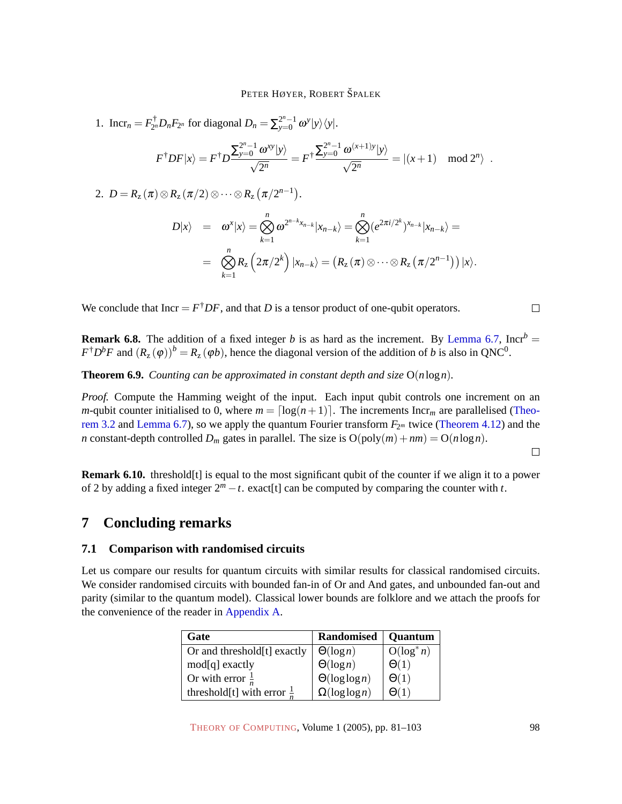1. Incr<sub>n</sub> =  $F_{2^n}^{\dagger}$  $\sum_{2^n}^{\dagger} D_n F_{2^n}$  for diagonal  $D_n = \sum_{y=0}^{2^n-1} \omega^y |y\rangle\langle y|$ .

$$
F^{\dagger}DF|x\rangle = F^{\dagger}D \frac{\sum_{y=0}^{2^n-1} \omega^{xy} |y\rangle}{\sqrt{2^n}} = F^{\dagger} \frac{\sum_{y=0}^{2^n-1} \omega^{(x+1)y} |y\rangle}{\sqrt{2^n}} = |(x+1) \mod 2^n\rangle.
$$

2.  $D = R_z(\pi) \otimes R_z(\pi/2) \otimes \cdots \otimes R_z(\pi/2^{n-1}).$ 

$$
D|x\rangle = \omega^x |x\rangle = \bigotimes_{k=1}^n \omega^{2^{n-k}x_{n-k}} |x_{n-k}\rangle = \bigotimes_{k=1}^n (e^{2\pi i/2^k})^{x_{n-k}} |x_{n-k}\rangle =
$$
  
= 
$$
\bigotimes_{k=1}^n R_z \left(2\pi/2^k\right) |x_{n-k}\rangle = \left(R_z(\pi) \otimes \cdots \otimes R_z(\pi/2^{n-1})\right)|x\rangle.
$$

We conclude that  $Incr = F^{\dagger}DF$ , and that *D* is a tensor product of one-qubit operators.

**Remark 6.8.** The addition of a fixed integer *b* is as hard as the increment. By [Lemma 6.7,](#page-16-4) Incr<sup>*b*</sup> =  $F^{\dagger}D^bF$  and  $(R_z(\varphi))^b = R_z(\varphi b)$ , hence the diagonal version of the addition of *b* is also in QNC<sup>0</sup>.

**Theorem 6.9.** *Counting can be approximated in constant depth and size* O(*n*log*n*)*.*

*Proof.* Compute the Hamming weight of the input. Each input qubit controls one increment on an *m*-qubit counter initialised to 0, where  $m = \lfloor \log(n+1) \rfloor$ . The increments Incr<sub>*m*</sub> are parallelised [\(Theo](#page-4-2)[rem 3.2](#page-4-2) and [Lemma 6.7\)](#page-16-4), so we apply the quantum Fourier transform  $F_{2<sup>m</sup>}$  twice [\(Theorem 4.12\)](#page-10-1) and the *n* constant-depth controlled  $D_m$  gates in parallel. The size is  $O(poly(m) + nm) = O(n \log n)$ .

 $\Box$ 

 $\Box$ 

**Remark 6.10.** threshold[t] is equal to the most significant qubit of the counter if we align it to a power of 2 by adding a fixed integer  $2^m - t$ . exact[t] can be computed by comparing the counter with *t*.

### **7 Concluding remarks**

#### **7.1 Comparison with randomised circuits**

Let us compare our results for quantum circuits with similar results for classical randomised circuits. We consider randomised circuits with bounded fan-in of Or and And gates, and unbounded fan-out and parity (similar to the quantum model). Classical lower bounds are folklore and we attach the proofs for the convenience of the reader in [Appendix A.](#page-19-0)

| Gate                                  | <b>Randomised</b>     | <b>Quantum</b> |
|---------------------------------------|-----------------------|----------------|
| Or and threshold[t] exactly           | $\Theta(\log n)$      | $O(log^* n)$   |
| mod[q] exactly                        | $\Theta(\log n)$      | $\Theta(1)$    |
| Or with error $\frac{1}{n}$           | $\Theta(\log \log n)$ | $\Theta(1)$    |
| threshold[t] with error $\frac{1}{x}$ | $\Omega(\log \log n)$ |                |

THEORY OF C[OMPUTING](http://dx.doi.org/10.4086/toc), Volume 1 (2005), pp. 81-103 98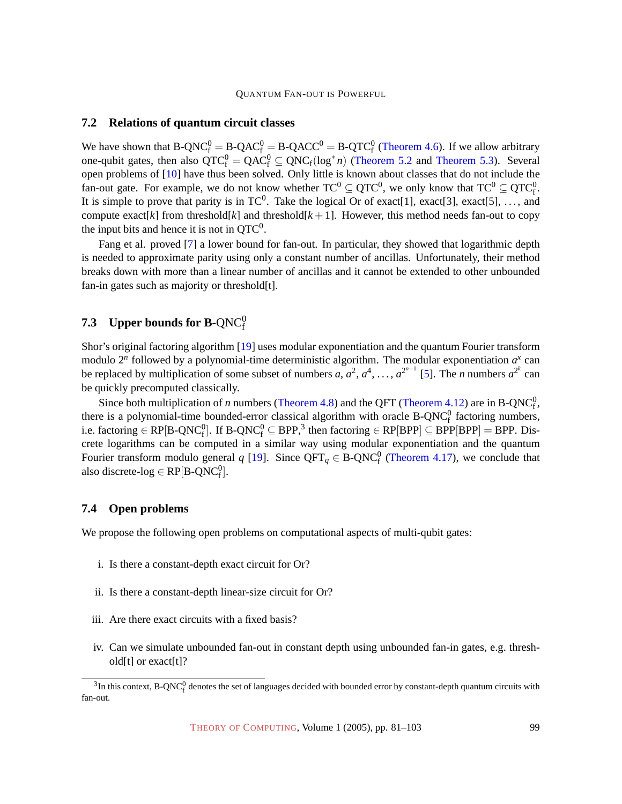#### <span id="page-18-1"></span>**7.2 Relations of quantum circuit classes**

We have shown that B-QNC ${}^{0}_{f} = B$ -QAC ${}^{0}_{f} = B$ -QACC ${}^{0} = B$ -QTC ${}^{0}_{f}$  [\(Theorem 4.6\)](#page-8-1). If we allow arbitrary one-qubit gates, then also  $QTC_f^0 = QAC_f^0 \subseteq QNC_f(\log^* n)$  [\(Theorem 5.2](#page-15-3) and [Theorem 5.3\)](#page-15-2). Several open problems of [\[10\]](#page-20-3) have thus been solved. Only little is known about classes that do not include the fan-out gate. For example, we do not know whether  $TC^0 \subseteq QTC^0$ , we only know that  $TC^0 \subseteq QTC^0_f$ . It is simple to prove that parity is in TC<sup>0</sup>. Take the logical Or of exact[1], exact[3], exact[5], ..., and compute exact[*k*] from threshold[*k*] and threshold[*k* + 1]. However, this method needs fan-out to copy the input bits and hence it is not in  $QTC^0$ .

Fang et al. proved [\[7\]](#page-20-8) a lower bound for fan-out. In particular, they showed that logarithmic depth is needed to approximate parity using only a constant number of ancillas. Unfortunately, their method breaks down with more than a linear number of ancillas and it cannot be extended to other unbounded fan-in gates such as majority or threshold[t].

# <span id="page-18-0"></span>**7.3** Upper bounds for B-QNC $^0_{\rm f}$

Shor's original factoring algorithm [\[19\]](#page-21-7) uses modular exponentiation and the quantum Fourier transform modulo  $2^n$  followed by a polynomial-time deterministic algorithm. The modular exponentiation  $a^x$  can be replaced by multiplication of some subset of numbers *a*,  $a^2$ ,  $a^4$ , ...,  $a^{2^{n-1}}$  [\[5\]](#page-20-4). The *n* numbers  $a^{2^k}$  can be quickly precomputed classically.

Since both multiplication of *n* numbers [\(Theorem 4.8\)](#page-9-1) and the QFT [\(Theorem 4.12\)](#page-10-1) are in B-QNC $_0^0$ , since bour indiriphication of *n* numbers (Theorem 4.6) and the QFT (Theorem 4.12) are in B-QNC<sub>f</sub>,<br>there is a polynomial-time bounded-error classical algorithm with oracle B-QNC<sub>f</sub> factoring numbers, i.e. factoring  $\in$  RP[B-QNC $_1^0$ ]. If B-QNC $_1^0$   $\subseteq$  BPP,<sup>3</sup> then factoring  $\in$  RP[BPP]  $\subseteq$  BPP[BPP]  $=$  BPP. Discrete logarithms can be computed in a similar way using modular exponentiation and the quantum Fourier transform modulo general  $q$  [\[19\]](#page-21-7). Since  $QFT_q \in B\text{-}QNC_f^0$  [\(Theorem 4.17\)](#page-12-0), we conclude that also discrete-log  $\in$  RP[B-QNC $_{{\rm f}}^{{\rm 0}}$ ].

#### **7.4 Open problems**

We propose the following open problems on computational aspects of multi-qubit gates:

- i. Is there a constant-depth exact circuit for Or?
- ii. Is there a constant-depth linear-size circuit for Or?
- iii. Are there exact circuits with a fixed basis?
- iv. Can we simulate unbounded fan-out in constant depth using unbounded fan-in gates, e.g. threshold[t] or exact[t]?

 $3$ In this context, B-QNC $_f^0$  denotes the set of languages decided with bounded error by constant-depth quantum circuits with fan-out.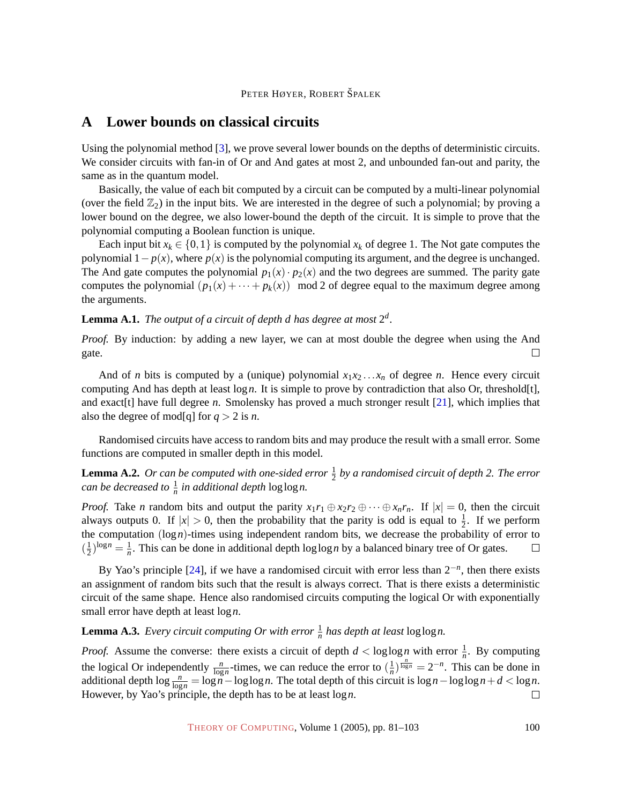### <span id="page-19-0"></span>**A Lower bounds on classical circuits**

Using the polynomial method [\[3\]](#page-20-9), we prove several lower bounds on the depths of deterministic circuits. We consider circuits with fan-in of Or and And gates at most 2, and unbounded fan-out and parity, the same as in the quantum model.

Basically, the value of each bit computed by a circuit can be computed by a multi-linear polynomial (over the field  $\mathbb{Z}_2$ ) in the input bits. We are interested in the degree of such a polynomial; by proving a lower bound on the degree, we also lower-bound the depth of the circuit. It is simple to prove that the polynomial computing a Boolean function is unique.

Each input bit  $x_k \in \{0, 1\}$  is computed by the polynomial  $x_k$  of degree 1. The Not gate computes the polynomial  $1-p(x)$ , where  $p(x)$  is the polynomial computing its argument, and the degree is unchanged. The And gate computes the polynomial  $p_1(x) \cdot p_2(x)$  and the two degrees are summed. The parity gate computes the polynomial  $(p_1(x) + \cdots + p_k(x))$  mod 2 of degree equal to the maximum degree among the arguments.

<span id="page-19-1"></span>**Lemma A.1.** The output of a circuit of depth d has degree at most  $2^d$ .

*Proof.* By induction: by adding a new layer, we can at most double the degree when using the And gate.  $\Box$ 

And of *n* bits is computed by a (unique) polynomial  $x_1x_2 \ldots x_n$  of degree *n*. Hence every circuit computing And has depth at least log*n*. It is simple to prove by contradiction that also Or, threshold[t], and exact [t] have full degree *n*. Smolensky has proved a much stronger result [\[21\]](#page-21-3), which implies that also the degree of mod[q] for  $q > 2$  is *n*.

Randomised circuits have access to random bits and may produce the result with a small error. Some functions are computed in smaller depth in this model.

# <span id="page-19-2"></span>**Lemma A.2.** Or can be computed with one-sided error  $\frac{1}{2}$  by a randomised circuit of depth 2. The error *can be decreased to*  $\frac{1}{n}$  *in additional depth*  $\log \log n$ .

*Proof.* Take *n* random bits and output the parity  $x_1r_1 \oplus x_2r_2 \oplus \cdots \oplus x_n r_n$ . If  $|x| = 0$ , then the circuit always outputs 0. If  $|x| > 0$ , then the probability that the parity is odd is equal to  $\frac{1}{2}$ . If we perform the computation (log*n*)-times using independent random bits, we decrease the probability of error to  $\left(\frac{1}{2}\right)$  $(\frac{1}{2})^{\log n} = \frac{1}{n}$  $\frac{1}{n}$ . This can be done in additional depth loglog *n* by a balanced binary tree of Or gates.  $\Box$ 

By Yao's principle [\[24\]](#page-21-11), if we have a randomised circuit with error less than 2−*<sup>n</sup>* , then there exists an assignment of random bits such that the result is always correct. That is there exists a deterministic circuit of the same shape. Hence also randomised circuits computing the logical Or with exponentially small error have depth at least log*n*.

**Lemma A.3.** *Every circuit computing Or with error*  $\frac{1}{n}$  *has depth at least* log log *n*.

*Proof.* Assume the converse: there exists a circuit of depth  $d < \log \log n$  with error  $\frac{1}{n}$ . By computing  $\frac{1}{n}$ )  $\frac{n}{\log n} = 2^{-n}$ . This can be done in the logical Or independently  $\frac{n}{\log n}$ -times, we can reduce the error to  $(\frac{1}{n})$ additional depth  $\log \frac{n}{\log n} = \log n - \log \log n$ . The total depth of this circuit is  $\log n - \log \log n + d < \log n$ . However, by Yao's principle, the depth has to be at least log*n*.  $\Box$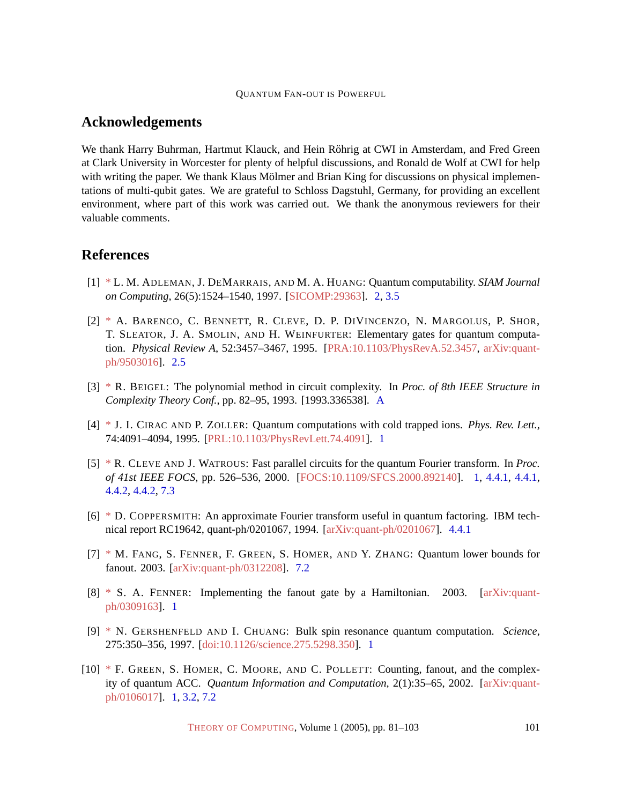### **Acknowledgements**

We thank Harry Buhrman, Hartmut Klauck, and Hein Röhrig at CWI in Amsterdam, and Fred Green at Clark University in Worcester for plenty of helpful discussions, and Ronald de Wolf at CWI for help with writing the paper. We thank Klaus Mölmer and Brian King for discussions on physical implementations of multi-qubit gates. We are grateful to Schloss Dagstuhl, Germany, for providing an excellent environment, where part of this work was carried out. We thank the anonymous reviewers for their valuable comments.

### **References**

- <span id="page-20-5"></span>[1] [\\*](http://theoryofcomputing.org/articles/main/v001/a005/bibliography.html#adh:qcomputability) L. M. ADLEMAN, J. DEMARRAIS, AND M. A. HUANG: Quantum computability. *SIAM Journal on Computing*, 26(5):1524–1540, 1997. [\[SICOMP:29363\]](http://epubs.siam.org/sam-bin/dbq/article/29363). [2,](#page-2-0) [3.5](#page-6-3)
- <span id="page-20-6"></span>[2] [\\*](http://theoryofcomputing.org/articles/main/v001/a005/bibliography.html#bbc:gates) A. BARENCO, C. BENNETT, R. CLEVE, D. P. DIVINCENZO, N. MARGOLUS, P. SHOR, T. SLEATOR, J. A. SMOLIN, AND H. WEINFURTER: Elementary gates for quantum computation. *Physical Review A*, 52:3457–3467, 1995. [\[PRA:10.1103/PhysRevA.52.3457,](http://dx.doi.org/10.1103/PhysRevA.52.3457) [arXiv:quant](http://arxiv.org/abs/quant-ph/9503016)[ph/9503016\]](http://arxiv.org/abs/quant-ph/9503016). [2.5](#page-4-3)
- <span id="page-20-9"></span>[3] [\\*](http://theoryofcomputing.org/articles/main/v001/a005/bibliography.html#beigel:polmethod) R. BEIGEL: The polynomial method in circuit complexity. In *Proc. of 8th IEEE Structure in Complexity Theory Conf.*, pp. 82–95, 1993. [1993.336538]. [A](#page-19-0)
- <span id="page-20-0"></span>[4] [\\*](http://theoryofcomputing.org/articles/main/v001/a005/bibliography.html#cz:qc-ion) J. I. CIRAC AND P. ZOLLER: Quantum computations with cold trapped ions. *Phys. Rev. Lett.*, 74:4091–4094, 1995. [\[PRL:10.1103/PhysRevLett.74.4091\]](http://dx.doi.org/10.1103/PhysRevLett.74.4091). [1](#page-1-0)
- <span id="page-20-4"></span>[5] [\\*](http://theoryofcomputing.org/articles/main/v001/a005/bibliography.html#cw:qft) R. CLEVE AND J. WATROUS: Fast parallel circuits for the quantum Fourier transform. In *Proc. of 41st IEEE FOCS*, pp. 526–536, 2000. [\[FOCS:10.1109/SFCS.2000.892140\]](http://doi.ieeecomputersociety.org//10.1109/SFCS.2000.892140). [1,](#page-1-0) [4.4.1,](#page-10-2) [4.4.1,](#page-11-2) [4.4.2,](#page-12-2) [4.4.2,](#page-13-0) [7.3](#page-18-0)
- <span id="page-20-7"></span>[6] [\\*](http://theoryofcomputing.org/articles/main/v001/a005/bibliography.html#coppersmith:qft) D. COPPERSMITH: An approximate Fourier transform useful in quantum factoring. IBM technical report RC19642, quant-ph/0201067, 1994. [\[arXiv:quant-ph/0201067\]](http://arxiv.org/abs/quant-ph/0201067). [4.4.1](#page-10-2)
- <span id="page-20-8"></span>[7] [\\*](http://theoryofcomputing.org/articles/main/v001/a005/bibliography.html#ffghz:fanout) M. FANG, S. FENNER, F. GREEN, S. HOMER, AND Y. ZHANG: Quantum lower bounds for fanout. 2003. [\[arXiv:quant-ph/0312208\]](http://arxiv.org/abs/quant-ph/0312208). [7.2](#page-18-1)
- <span id="page-20-2"></span>[8] [\\*](http://theoryofcomputing.org/articles/main/v001/a005/bibliography.html#fenner:fanout) S. A. FENNER: Implementing the fanout gate by a Hamiltonian. 2003. [\[arXiv:quant](http://arxiv.org/abs/quant-ph/0309163)[ph/0309163\]](http://arxiv.org/abs/quant-ph/0309163). [1](#page-1-0)
- <span id="page-20-1"></span>[9] [\\*](http://theoryofcomputing.org/articles/main/v001/a005/bibliography.html#gh:qc-nmr) N. GERSHENFELD AND I. CHUANG: Bulk spin resonance quantum computation. *Science*, 275:350–356, 1997. [\[doi:10.1126/science.275.5298.350\]](http://dx.doi.org/10.1126/science.275.5298.350). [1](#page-1-0)
- <span id="page-20-3"></span>[10] [\\*](http://theoryofcomputing.org/articles/main/v001/a005/bibliography.html#ghmp:qacc) F. GREEN, S. HOMER, C. MOORE, AND C. POLLETT: Counting, fanout, and the complexity of quantum ACC. *Quantum Information and Computation*, 2(1):35–65, 2002. [\[arXiv:quant](http://arxiv.org/abs/quant-ph/0106017)[ph/0106017\]](http://arxiv.org/abs/quant-ph/0106017). [1,](#page-1-0) [3.2,](#page-4-2) [7.2](#page-18-1)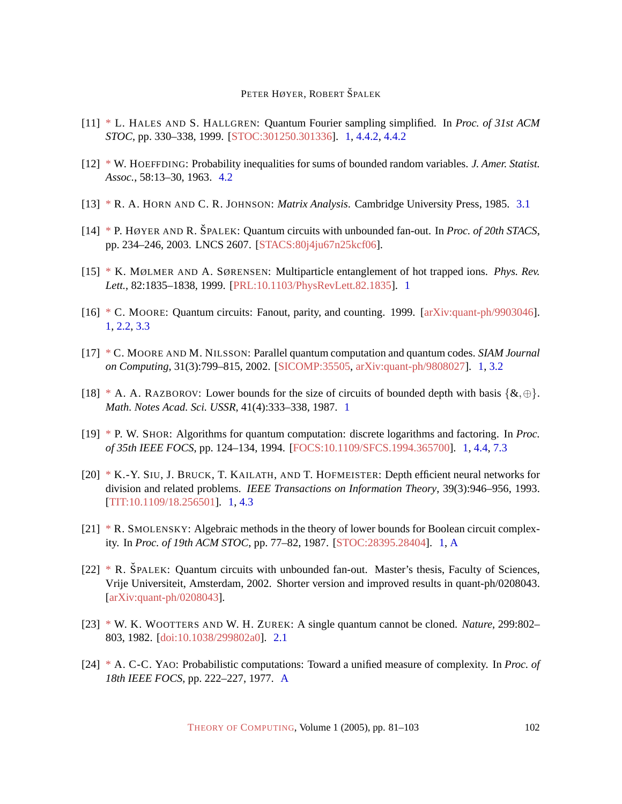- <span id="page-21-6"></span>[11] [\\*](http://theoryofcomputing.org/articles/main/v001/a005/bibliography.html#hh:qft) L. HALES AND S. HALLGREN: Quantum Fourier sampling simplified. In *Proc. of 31st ACM STOC*, pp. 330–338, 1999. [\[STOC:301250.301336\]](http://portal.acm.org/citation.cfm?id=301250.301336). [1,](#page-1-0) [4.4.2,](#page-12-2) [4.4.2](#page-13-0)
- <span id="page-21-10"></span>[12] [\\*](http://theoryofcomputing.org/articles/main/v001/a005/bibliography.html#hoeffding:probineq) W. HOEFFDING: Probability inequalities for sums of bounded random variables. *J. Amer. Statist. Assoc.*, 58:13–30, 1963. [4.2](#page-7-0)
- <span id="page-21-9"></span>[13] [\\*](http://theoryofcomputing.org/articles/main/v001/a005/bibliography.html#hj:matrix-book) R. A. HORN AND C. R. JOHNSON: *Matrix Analysis*. Cambridge University Press, 1985. [3.1](#page-4-1)
- $[14]$  [\\*](http://theoryofcomputing.org/articles/main/v001/a005/bibliography.html#spalek:qncwf-stacs) P. HØYER AND R. ŠPALEK: Quantum circuits with unbounded fan-out. In *Proc. of 20th STACS*, pp. 234–246, 2003. LNCS 2607. [\[STACS:80j4ju67n25kcf06\]](http://springerlink.metapress.com/link.asp?id=80j4ju67n25kcf06).
- <span id="page-21-0"></span>[15] [\\*](http://theoryofcomputing.org/articles/main/v001/a005/bibliography.html#ms:ions) K. MØLMER AND A. SØRENSEN: Multiparticle entanglement of hot trapped ions. *Phys. Rev. Lett.*, 82:1835–1838, 1999. [\[PRL:10.1103/PhysRevLett.82.1835\]](http://dx.doi.org/10.1103/PhysRevLett.82.1835). [1](#page-1-0)
- <span id="page-21-4"></span>[16] [\\*](http://theoryofcomputing.org/articles/main/v001/a005/bibliography.html#moore:fanout) C. MOORE: Quantum circuits: Fanout, parity, and counting. 1999. [\[arXiv:quant-ph/9903046\]](http://arxiv.org/abs/quant-ph/9903046). [1,](#page-1-0) [2.2,](#page-3-1) [3.3](#page-5-3)
- <span id="page-21-1"></span>[17] [\\*](http://theoryofcomputing.org/articles/main/v001/a005/bibliography.html#moore:parallel-qc) C. MOORE AND M. NILSSON: Parallel quantum computation and quantum codes. *SIAM Journal on Computing*, 31(3):799–815, 2002. [\[SICOMP:35505,](http://epubs.siam.org/sam-bin/dbq/article/35505) [arXiv:quant-ph/9808027\]](http://arxiv.org/abs/quant-ph/9808027). [1,](#page-1-0) [3.2](#page-4-2)
- <span id="page-21-2"></span>[18] [\\*](http://theoryofcomputing.org/articles/main/v001/a005/bibliography.html#razborov:circsize) A. A. RAZBOROV: Lower bounds for the size of circuits of bounded depth with basis  $\{\&,\oplus\}$ . *Math. Notes Acad. Sci. USSR*, 41(4):333–338, 1987. [1](#page-1-0)
- <span id="page-21-7"></span>[19] [\\*](http://theoryofcomputing.org/articles/main/v001/a005/bibliography.html#shor:factoring) P. W. SHOR: Algorithms for quantum computation: discrete logarithms and factoring. In *Proc. of 35th IEEE FOCS*, pp. 124–134, 1994. [\[FOCS:10.1109/SFCS.1994.365700\]](http://doi.ieeecomputersociety.org//10.1109/SFCS.1994.365700). [1,](#page-1-0) [4.4,](#page-10-3) [7.3](#page-18-0)
- <span id="page-21-5"></span>[20] [\\*](http://theoryofcomputing.org/articles/main/v001/a005/bibliography.html#sbkh:division-circ) K.-Y. SIU, J. BRUCK, T. KAILATH, AND T. HOFMEISTER: Depth efficient neural networks for division and related problems. *IEEE Transactions on Information Theory*, 39(3):946–956, 1993. [\[TIT:10.1109/18.256501\]](http://doi.ieeecomputersociety.org//10.1109/18.256501). [1,](#page-1-0) [4.3](#page-9-1)
- <span id="page-21-3"></span>[21] [\\*](http://theoryofcomputing.org/articles/main/v001/a005/bibliography.html#smolensky:algmethods) R. SMOLENSKY: Algebraic methods in the theory of lower bounds for Boolean circuit complexity. In *Proc. of 19th ACM STOC*, pp. 77–82, 1987. [\[STOC:28395.28404\]](http://portal.acm.org/citation.cfm?id=28395.28404). [1,](#page-1-0) [A](#page-19-1)
- [22] [\\*](http://theoryofcomputing.org/articles/main/v001/a005/bibliography.html#spalek:thesis-qncwf-uploaded) R. SPALEK: Quantum circuits with unbounded fan-out. Master's thesis, Faculty of Sciences, Vrije Universiteit, Amsterdam, 2002. Shorter version and improved results in quant-ph/0208043. [\[arXiv:quant-ph/0208043\]](http://arxiv.org/abs/quant-ph/0208043).
- <span id="page-21-8"></span>[23] [\\*](http://theoryofcomputing.org/articles/main/v001/a005/bibliography.html#wz:noclone) W. K. WOOTTERS AND W. H. ZUREK: A single quantum cannot be cloned. *Nature*, 299:802– 803, 1982. [\[doi:10.1038/299802a0\]](http://dx.doi.org/10.1038/299802a0). [2.1](#page-3-2)
- <span id="page-21-11"></span>[24] [\\*](http://theoryofcomputing.org/articles/main/v001/a005/bibliography.html#yao:unified) A. C-C. YAO: Probabilistic computations: Toward a unified measure of complexity. In *Proc. of 18th IEEE FOCS*, pp. 222–227, 1977. [A](#page-19-2)